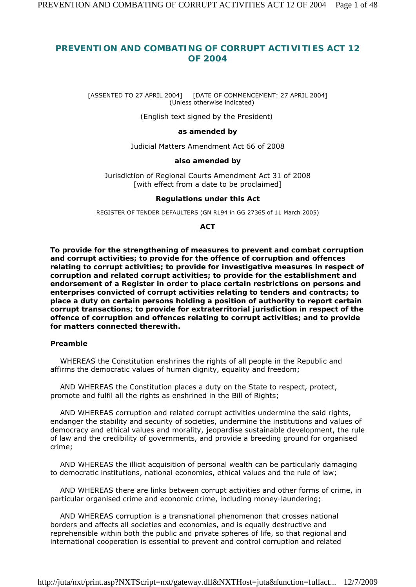# **PREVENTION AND COMBATING OF CORRUPT ACTIVITIES ACT 12 OF 2004**

[ASSENTED TO 27 APRIL 2004] [DATE OF COMMENCEMENT: 27 APRIL 2004] (Unless otherwise indicated)

*(English text signed by the President)* 

#### **as amended by**

Judicial Matters Amendment Act 66 of 2008

#### **also amended by**

Jurisdiction of Regional Courts Amendment Act 31 of 2008 [with effect from a date to be proclaimed]

#### **Regulations under this Act**

REGISTER OF TENDER DEFAULTERS (GN R194 in *GG* 27365 of 11 March 2005)

#### **ACT**

**To provide for the strengthening of measures to prevent and combat corruption and corrupt activities; to provide for the offence of corruption and offences relating to corrupt activities; to provide for investigative measures in respect of corruption and related corrupt activities; to provide for the establishment and endorsement of a Register in order to place certain restrictions on persons and enterprises convicted of corrupt activities relating to tenders and contracts; to place a duty on certain persons holding a position of authority to report certain corrupt transactions; to provide for extraterritorial jurisdiction in respect of the offence of corruption and offences relating to corrupt activities; and to provide for matters connected therewith.** 

#### **Preamble**

 WHEREAS the Constitution enshrines the rights of all people in the Republic and affirms the democratic values of human dignity, equality and freedom;

 AND WHEREAS the Constitution places a duty on the State to respect, protect, promote and fulfil all the rights as enshrined in the Bill of Rights;

 AND WHEREAS corruption and related corrupt activities undermine the said rights, endanger the stability and security of societies, undermine the institutions and values of democracy and ethical values and morality, jeopardise sustainable development, the rule of law and the credibility of governments, and provide a breeding ground for organised crime;

 AND WHEREAS the illicit acquisition of personal wealth can be particularly damaging to democratic institutions, national economies, ethical values and the rule of law;

 AND WHEREAS there are links between corrupt activities and other forms of crime, in particular organised crime and economic crime, including money-laundering;

 AND WHEREAS corruption is a transnational phenomenon that crosses national borders and affects all societies and economies, and is equally destructive and reprehensible within both the public and private spheres of life, so that regional and international cooperation is essential to prevent and control corruption and related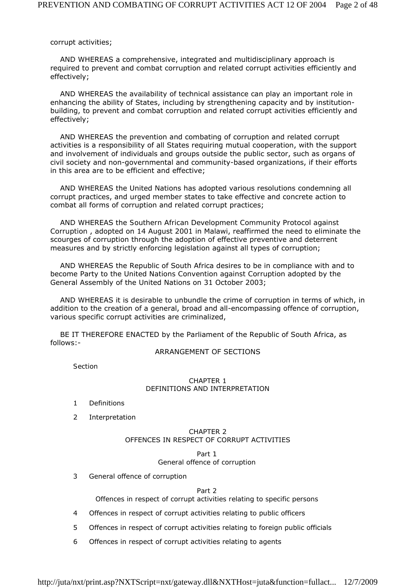#### corrupt activities;

 AND WHEREAS a comprehensive, integrated and multidisciplinary approach is required to prevent and combat corruption and related corrupt activities efficiently and effectively;

 AND WHEREAS the availability of technical assistance can play an important role in enhancing the ability of States, including by strengthening capacity and by institutionbuilding, to prevent and combat corruption and related corrupt activities efficiently and effectively;

 AND WHEREAS the prevention and combating of corruption and related corrupt activities is a responsibility of all States requiring mutual cooperation, with the support and involvement of individuals and groups outside the public sector, such as organs of civil society and non-governmental and community-based organizations, if their efforts in this area are to be efficient and effective;

 AND WHEREAS the United Nations has adopted various resolutions condemning all corrupt practices, and urged member states to take effective and concrete action to combat all forms of corruption and related corrupt practices;

 AND WHEREAS the *Southern African Development Community Protocol against Corruption* , adopted on 14 August 2001 in Malawi, reaffirmed the need to eliminate the scourges of corruption through the adoption of effective preventive and deterrent measures and by strictly enforcing legislation against all types of corruption;

 AND WHEREAS the Republic of South Africa desires to be in compliance with and to become Party to the *United Nations Convention against Corruption* adopted by the General Assembly of the United Nations on 31 October 2003;

 AND WHEREAS it is desirable to unbundle the crime of corruption in terms of which, in addition to the creation of a general, broad and all-encompassing offence of corruption, various specific corrupt activities are criminalized,

 BE IT THEREFORE ENACTED by the Parliament of the Republic of South Africa, as follows:-

ARRANGEMENT OF SECTIONS

*Section* 

## CHAPTER 1 DEFINITIONS AND INTERPRETATION

- 1 Definitions
- 2 Interpretation

## CHAPTER 2 OFFENCES IN RESPECT OF CORRUPT ACTIVITIES

*Part 1 General offence of corruption* 

3 General offence of corruption

*Part 2* 

*Offences in respect of corrupt activities relating to specific persons* 

- 4 Offences in respect of corrupt activities relating to public officers
- 5 Offences in respect of corrupt activities relating to foreign public officials
- 6 Offences in respect of corrupt activities relating to agents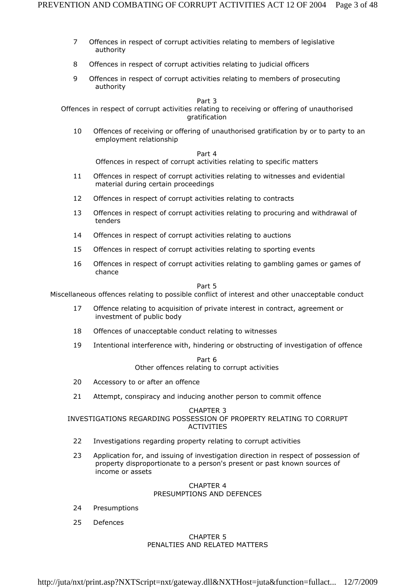- 7 Offences in respect of corrupt activities relating to members of legislative authority
- 8 Offences in respect of corrupt activities relating to judicial officers
- 9 Offences in respect of corrupt activities relating to members of prosecuting authority

#### *Part 3*

*Offences in respect of corrupt activities relating to receiving or offering of unauthorised gratification* 

 10 Offences of receiving or offering of unauthorised gratification by or to party to an employment relationship

*Part 4* 

*Offences in respect of corrupt activities relating to specific matters* 

- 11 Offences in respect of corrupt activities relating to witnesses and evidential material during certain proceedings
- 12 Offences in respect of corrupt activities relating to contracts
- 13 Offences in respect of corrupt activities relating to procuring and withdrawal of tenders
- 14 Offences in respect of corrupt activities relating to auctions
- 15 Offences in respect of corrupt activities relating to sporting events
- 16 Offences in respect of corrupt activities relating to gambling games or games of chance

#### *Part 5*

*Miscellaneous offences relating to possible conflict of interest and other unacceptable conduct* 

- 17 Offence relating to acquisition of private interest in contract, agreement or investment of public body
- 18 Offences of unacceptable conduct relating to witnesses
- 19 Intentional interference with, hindering or obstructing of investigation of offence

#### *Part 6 Other offences relating to corrupt activities*

- 20 Accessory to or after an offence
- 21 Attempt, conspiracy and inducing another person to commit offence

#### CHAPTER 3

#### INVESTIGATIONS REGARDING POSSESSION OF PROPERTY RELATING TO CORRUPT ACTIVITIES

- 22 Investigations regarding property relating to corrupt activities
- 23 Application for, and issuing of investigation direction in respect of possession of property disproportionate to a person's present or past known sources of income or assets

#### CHAPTER 4 PRESUMPTIONS AND DEFENCES

- 24 Presumptions
- 25 Defences

#### CHAPTER 5 PENALTIES AND RELATED MATTERS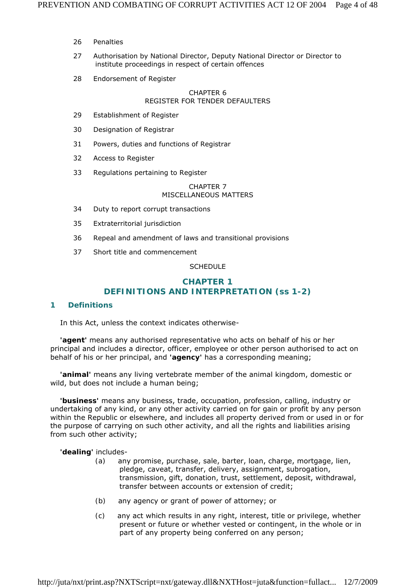- 26 Penalties
- 27 Authorisation by National Director, Deputy National Director or Director to institute proceedings in respect of certain offences
- 28 Endorsement of Register

#### CHAPTER 6 REGISTER FOR TENDER DEFAULTERS

- 29 Establishment of Register
- 30 Designation of Registrar
- 31 Powers, duties and functions of Registrar
- 32 Access to Register
- 33 Regulations pertaining to Register

#### CHAPTER 7 MISCELLANEOUS MATTERS

- 34 Duty to report corrupt transactions
- 35 Extraterritorial jurisdiction
- 36 Repeal and amendment of laws and transitional provisions
- 37 Short title and commencement

#### **SCHEDULE**

### **CHAPTER 1 DEFINITIONS AND INTERPRETATION (ss 1-2)**

#### **1 Definitions**

In this Act, unless the context indicates otherwise-

 **'agent'** means any authorised representative who acts on behalf of his or her principal and includes a director, officer, employee or other person authorised to act on behalf of his or her principal, and **'agency'** has a corresponding meaning;

 **'animal'** means any living vertebrate member of the animal kingdom, domestic or wild, but does not include a human being;

 **'business'** means any business, trade, occupation, profession, calling, industry or undertaking of any kind, or any other activity carried on for gain or profit by any person within the Republic or elsewhere, and includes all property derived from or used in or for the purpose of carrying on such other activity, and all the rights and liabilities arising from such other activity;

**'dealing'** includes-

- *(a)* any promise, purchase, sale, barter, loan, charge, mortgage, lien, pledge, caveat, transfer, delivery, assignment, subrogation, transmission, gift, donation, trust, settlement, deposit, withdrawal, transfer between accounts or extension of credit;
- *(b)* any agency or grant of power of attorney; or
- *(c)* any act which results in any right, interest, title or privilege, whether present or future or whether vested or contingent, in the whole or in part of any property being conferred on any person;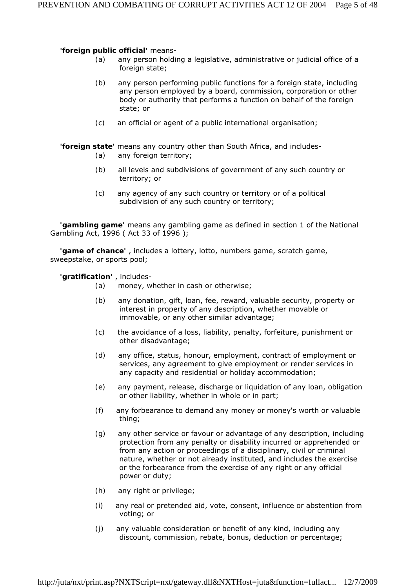**'foreign public official'** means-

- *(a)* any person holding a legislative, administrative or judicial office of a foreign state;
- *(b)* any person performing public functions for a foreign state, including any person employed by a board, commission, corporation or other body or authority that performs a function on behalf of the foreign state; or
- *(c)* an official or agent of a public international organisation;

**'foreign state'** means any country other than South Africa, and includes-

- *(a)* any foreign territory;
- *(b)* all levels and subdivisions of government of any such country or territory; or
- *(c)* any agency of any such country or territory or of a political subdivision of any such country or territory;

 **'gambling game'** means any gambling game as defined in section 1 of the National Gambling Act, 1996 ( Act 33 of 1996 );

 **'game of chance'** , includes a lottery, lotto, numbers game, scratch game, sweepstake, or sports pool;

**'gratification'** , includes-

- *(a)* money, whether in cash or otherwise;
- *(b)* any donation, gift, loan, fee, reward, valuable security, property or interest in property of any description, whether movable or immovable, or any other similar advantage;
- *(c)* the avoidance of a loss, liability, penalty, forfeiture, punishment or other disadvantage;
- *(d)* any office, status, honour, employment, contract of employment or services, any agreement to give employment or render services in any capacity and residential or holiday accommodation;
- *(e)* any payment, release, discharge or liquidation of any loan, obligation or other liability, whether in whole or in part;
- *(f)* any forbearance to demand any money or money's worth or valuable thing;
- *(g)* any other service or favour or advantage of any description, including protection from any penalty or disability incurred or apprehended or from any action or proceedings of a disciplinary, civil or criminal nature, whether or not already instituted, and includes the exercise or the forbearance from the exercise of any right or any official power or duty;
- *(h)* any right or privilege;
- *(i)* any real or pretended aid, vote, consent, influence or abstention from voting; or
- *(j)* any valuable consideration or benefit of any kind, including any discount, commission, rebate, bonus, deduction or percentage;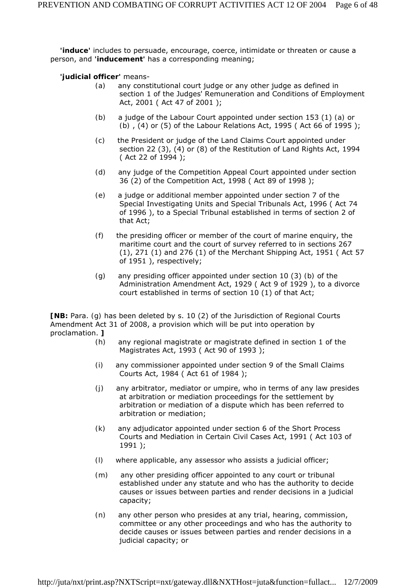**'induce'** includes to persuade, encourage, coerce, intimidate or threaten or cause a person, and **'inducement'** has a corresponding meaning;

**'judicial officer'** means-

- *(a)* any constitutional court judge or any other judge as defined in section 1 of the Judges' Remuneration and Conditions of Employment Act, 2001 ( Act 47 of 2001 );
- *(b)* a judge of the Labour Court appointed under section 153 (1) *(a)* or *(b)* , (4) or (5) of the Labour Relations Act, 1995 ( Act 66 of 1995 );
- *(c)* the President or judge of the Land Claims Court appointed under section 22 (3), (4) or (8) of the Restitution of Land Rights Act, 1994 ( Act 22 of 1994 );
- *(d)* any judge of the Competition Appeal Court appointed under section 36 (2) of the Competition Act, 1998 ( Act 89 of 1998 );
- *(e)* a judge or additional member appointed under section 7 of the Special Investigating Units and Special Tribunals Act, 1996 ( Act 74 of 1996 ), to a Special Tribunal established in terms of section 2 of that Act;
- *(f)* the presiding officer or member of the court of marine enquiry, the maritime court and the court of survey referred to in sections 267 (1), 271 (1) and 276 (1) of the Merchant Shipping Act, 1951 ( Act 57 of 1951 ), respectively;
- *(g)* any presiding officer appointed under section 10 (3) *(b)* of the Administration Amendment Act, 1929 ( Act 9 of 1929 ), to a divorce court established in terms of section 10 (1) of that Act;

**[NB:** Para. *(g)* has been deleted by s. 10 (2) of the Jurisdiction of Regional Courts Amendment Act 31 of 2008, a provision which will be put into operation by proclamation. **]** 

- *(h)* any regional magistrate or magistrate defined in section 1 of the Magistrates Act, 1993 ( Act 90 of 1993 );
- *(i)* any commissioner appointed under section 9 of the Small Claims Courts Act, 1984 ( Act 61 of 1984 );
- *(j)* any arbitrator, mediator or umpire, who in terms of any law presides at arbitration or mediation proceedings for the settlement by arbitration or mediation of a dispute which has been referred to arbitration or mediation;
- *(k)* any adjudicator appointed under section 6 of the Short Process Courts and Mediation in Certain Civil Cases Act, 1991 ( Act 103 of 1991 );
- *(l)* where applicable, any assessor who assists a judicial officer;
- *(m)* any other presiding officer appointed to any court or tribunal established under any statute and who has the authority to decide causes or issues between parties and render decisions in a judicial capacity;
- *(n)* any other person who presides at any trial, hearing, commission, committee or any other proceedings and who has the authority to decide causes or issues between parties and render decisions in a judicial capacity; or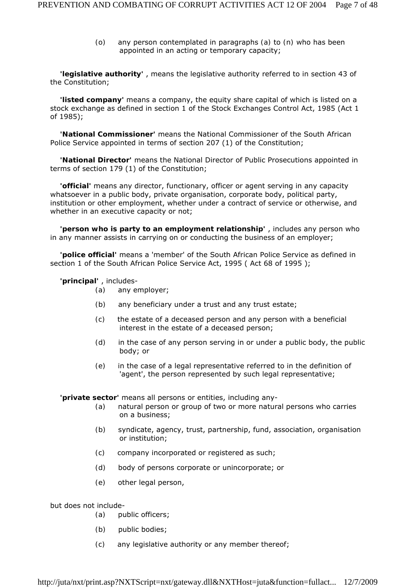*(o)* any person contemplated in paragraphs *(a)* to *(n)* who has been appointed in an acting or temporary capacity;

 **'legislative authority'** , means the legislative authority referred to in section 43 of the Constitution;

 **'listed company'** means a company, the equity share capital of which is listed on a stock exchange as defined in section 1 of the Stock Exchanges Control Act, 1985 (Act 1 of 1985);

 **'National Commissioner'** means the National Commissioner of the South African Police Service appointed in terms of section 207 (1) of the Constitution;

 **'National Director'** means the National Director of Public Prosecutions appointed in terms of section 179 (1) of the Constitution;

 **'official'** means any director, functionary, officer or agent serving in any capacity whatsoever in a public body, private organisation, corporate body, political party, institution or other employment, whether under a contract of service or otherwise, and whether in an executive capacity or not;

**'person who is party to an employment relationship'**, includes any person who in any manner assists in carrying on or conducting the business of an employer;

 **'police official'** means a 'member' of the South African Police Service as defined in section 1 of the South African Police Service Act, 1995 ( Act 68 of 1995 );

### **'principal'** , includes-

- *(a)* any employer;
- *(b)* any beneficiary under a trust and any trust estate;
- *(c)* the estate of a deceased person and any person with a beneficial interest in the estate of a deceased person;
- *(d)* in the case of any person serving in or under a public body, the public body; or
- *(e)* in the case of a legal representative referred to in the definition of 'agent', the person represented by such legal representative;

**'private sector'** means all persons or entities, including any-

- *(a)* natural person or group of two or more natural persons who carries on a business;
- *(b)* syndicate, agency, trust, partnership, fund, association, organisation or institution;
- *(c)* company incorporated or registered as such;
- *(d)* body of persons corporate or unincorporate; or
- *(e)* other legal person,

but does not include-

- *(a)* public officers;
- *(b)* public bodies;
- *(c)* any legislative authority or any member thereof;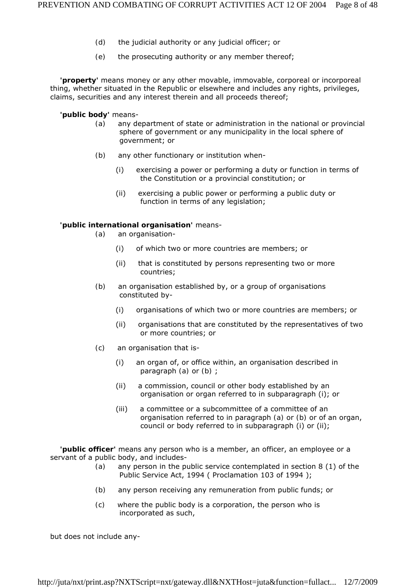- *(d)* the judicial authority or any judicial officer; or
- *(e)* the prosecuting authority or any member thereof;

 **'property'** means money or any other movable, immovable, corporeal or incorporeal thing, whether situated in the Republic or elsewhere and includes any rights, privileges, claims, securities and any interest therein and all proceeds thereof;

**'public body'** means-

- *(a)* any department of state or administration in the national or provincial sphere of government or any municipality in the local sphere of government; or
- *(b)* any other functionary or institution when-
	- (i) exercising a power or performing a duty or function in terms of the Constitution or a provincial constitution; or
	- (ii) exercising a public power or performing a public duty or function in terms of any legislation;

## **'public international organisation'** means-

- *(a)* an organisation-
	- (i) of which two or more countries are members; or
	- (ii) that is constituted by persons representing two or more countries;
- *(b)* an organisation established by, or a group of organisations constituted by-
	- (i) organisations of which two or more countries are members; or
	- (ii) organisations that are constituted by the representatives of two or more countries; or
- *(c)* an organisation that is-
	- (i) an organ of, or office within, an organisation described in paragraph *(a)* or *(b)* ;
	- (ii) a commission, council or other body established by an organisation or organ referred to in subparagraph (i); or
	- (iii) a committee or a subcommittee of a committee of an organisation referred to in paragraph *(a)* or *(b)* or of an organ, council or body referred to in subparagraph (i) or (ii);

 **'public officer'** means any person who is a member, an officer, an employee or a servant of a public body, and includes-

- *(a)* any person in the public service contemplated in section 8 (1) of the Public Service Act, 1994 ( Proclamation 103 of 1994 );
- *(b)* any person receiving any remuneration from public funds; or
- *(c)* where the public body is a corporation, the person who is incorporated as such,

but does not include any-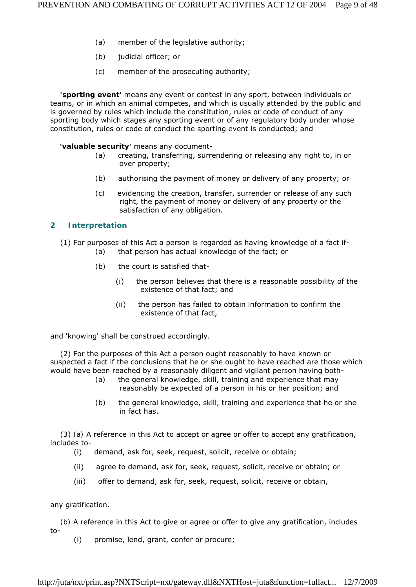- *(a)* member of the legislative authority;
- *(b)* judicial officer; or
- *(c)* member of the prosecuting authority;

 **'sporting event'** means any event or contest in any sport, between individuals or teams, or in which an animal competes, and which is usually attended by the public and is governed by rules which include the constitution, rules or code of conduct of any sporting body which stages any sporting event or of any regulatory body under whose constitution, rules or code of conduct the sporting event is conducted; and

 **'valuable security'** means any document-

- *(a)* creating, transferring, surrendering or releasing any right to, in or over property;
- *(b)* authorising the payment of money or delivery of any property; or
- *(c)* evidencing the creation, transfer, surrender or release of any such right, the payment of money or delivery of any property or the satisfaction of any obligation.

# **2 Interpretation**

(1) For purposes of this Act a person is regarded as having knowledge of a fact if-

- *(a)* that person has actual knowledge of the fact; or
- *(b)* the court is satisfied that-
	- (i) the person believes that there is a reasonable possibility of the existence of that fact; and
	- (ii) the person has failed to obtain information to confirm the existence of that fact,

and 'knowing' shall be construed accordingly.

 (2) For the purposes of this Act a person ought reasonably to have known or suspected a fact if the conclusions that he or she ought to have reached are those which would have been reached by a reasonably diligent and vigilant person having both-

- *(a)* the general knowledge, skill, training and experience that may reasonably be expected of a person in his or her position; and
- *(b)* the general knowledge, skill, training and experience that he or she in fact has.

 (3) *(a)* A reference in this Act to accept or agree or offer to accept any gratification, includes to-

- (i) demand, ask for, seek, request, solicit, receive or obtain;
- (ii) agree to demand, ask for, seek, request, solicit, receive or obtain; or
- (iii) offer to demand, ask for, seek, request, solicit, receive or obtain,

## any gratification.

 *(b)* A reference in this Act to give or agree or offer to give any gratification, includes to-

(i) promise, lend, grant, confer or procure;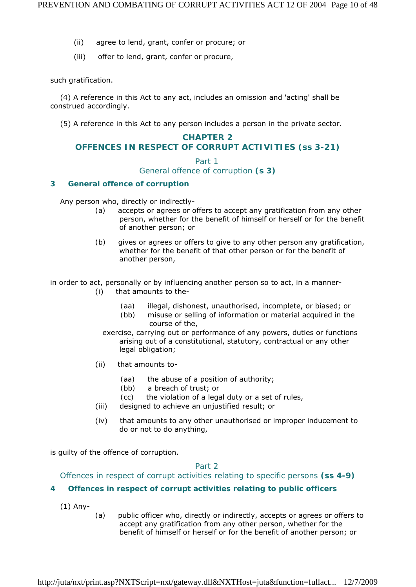- (ii) agree to lend, grant, confer or procure; or
- (iii) offer to lend, grant, confer or procure,

such gratification.

 (4) A reference in this Act to any act, includes an omission and 'acting' shall be construed accordingly.

(5) A reference in this Act to any person includes a person in the private sector.

# **CHAPTER 2 OFFENCES IN RESPECT OF CORRUPT ACTIVITIES (ss 3-21)**

*Part 1 General offence of corruption* **(s 3)** 

# **3 General offence of corruption**

Any person who, directly or indirectly-

- *(a)* accepts or agrees or offers to accept any gratification from any other person, whether for the benefit of himself or herself or for the benefit of another person; or
- *(b)* gives or agrees or offers to give to any other person any gratification, whether for the benefit of that other person or for the benefit of another person,

in order to act, personally or by influencing another person so to act, in a manner-

- (i) that amounts to the-
	- *(aa)* illegal, dishonest, unauthorised, incomplete, or biased; or
	- *(bb)* misuse or selling of information or material acquired in the course of the,

 exercise, carrying out or performance of any powers, duties or functions arising out of a constitutional, statutory, contractual or any other legal obligation;

- (ii) that amounts to-
	- *(aa)* the abuse of a position of authority;
	- *(bb)* a breach of trust; or
	- *(cc)* the violation of a legal duty or a set of rules,
- (iii) designed to achieve an unjustified result; or
- (iv) that amounts to any other unauthorised or improper inducement to do or not to do anything,

is guilty of the offence of corruption.

*Part 2* 

## *Offences in respect of corrupt activities relating to specific persons* **(ss 4-9)**

## **4 Offences in respect of corrupt activities relating to public officers**

(1) Any-

 *(a)* public officer who, directly or indirectly, accepts or agrees or offers to accept any gratification from any other person, whether for the benefit of himself or herself or for the benefit of another person; or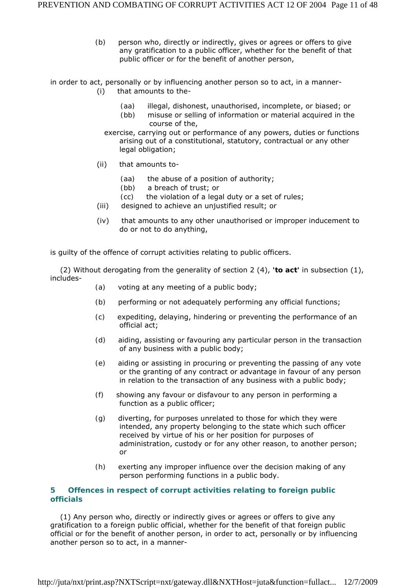*(b)* person who, directly or indirectly, gives or agrees or offers to give any gratification to a public officer, whether for the benefit of that public officer or for the benefit of another person,

in order to act, personally or by influencing another person so to act, in a manner- (i) that amounts to the-

- *(aa)* illegal, dishonest, unauthorised, incomplete, or biased; or
- *(bb)* misuse or selling of information or material acquired in the course of the,
- exercise, carrying out or performance of any powers, duties or functions arising out of a constitutional, statutory, contractual or any other legal obligation;
- (ii) that amounts to-
	- *(aa)* the abuse of a position of authority;
	- *(bb)* a breach of trust; or
	- *(cc)* the violation of a legal duty or a set of rules;
- (iii) designed to achieve an unjustified result; or
- (iv) that amounts to any other unauthorised or improper inducement to do or not to do anything,

is guilty of the offence of corrupt activities relating to public officers.

 (2) Without derogating from the generality of section 2 (4), **'to act'** in subsection (1), includes-

- *(a)* voting at any meeting of a public body;
- *(b)* performing or not adequately performing any official functions;
- *(c)* expediting, delaying, hindering or preventing the performance of an official act;
- *(d)* aiding, assisting or favouring any particular person in the transaction of any business with a public body;
- *(e)* aiding or assisting in procuring or preventing the passing of any vote or the granting of any contract or advantage in favour of any person in relation to the transaction of any business with a public body;
- *(f)* showing any favour or disfavour to any person in performing a function as a public officer;
- *(g)* diverting, for purposes unrelated to those for which they were intended, any property belonging to the state which such officer received by virtue of his or her position for purposes of administration, custody or for any other reason, to another person; or
- *(h)* exerting any improper influence over the decision making of any person performing functions in a public body.

#### **5 Offences in respect of corrupt activities relating to foreign public officials**

 (1) Any person who, directly or indirectly gives or agrees or offers to give any gratification to a foreign public official, whether for the benefit of that foreign public official or for the benefit of another person, in order to act, personally or by influencing another person so to act, in a manner-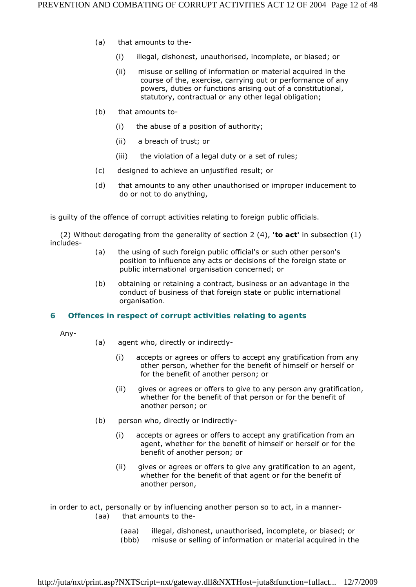- *(a)* that amounts to the-
	- (i) illegal, dishonest, unauthorised, incomplete, or biased; or
	- (ii) misuse or selling of information or material acquired in the course of the, exercise, carrying out or performance of any powers, duties or functions arising out of a constitutional, statutory, contractual or any other legal obligation;
- *(b)* that amounts to-
	- (i) the abuse of a position of authority;
	- (ii) a breach of trust; or
	- (iii) the violation of a legal duty or a set of rules;
- *(c)* designed to achieve an unjustified result; or
- *(d)* that amounts to any other unauthorised or improper inducement to do or not to do anything,

is guilty of the offence of corrupt activities relating to foreign public officials.

 (2) Without derogating from the generality of section 2 (4), **'to act'** in subsection (1) includes-

- *(a)* the using of such foreign public official's or such other person's position to influence any acts or decisions of the foreign state or public international organisation concerned; or
- *(b)* obtaining or retaining a contract, business or an advantage in the conduct of business of that foreign state or public international organisation.

## **6 Offences in respect of corrupt activities relating to agents**

- Any-
- *(a)* agent who, directly or indirectly-
	- (i) accepts or agrees or offers to accept any gratification from any other person, whether for the benefit of himself or herself or for the benefit of another person; or
	- (ii) gives or agrees or offers to give to any person any gratification, whether for the benefit of that person or for the benefit of another person; or
- *(b)* person who, directly or indirectly-
	- (i) accepts or agrees or offers to accept any gratification from an agent, whether for the benefit of himself or herself or for the benefit of another person; or
	- (ii) gives or agrees or offers to give any gratification to an agent, whether for the benefit of that agent or for the benefit of another person,

in order to act, personally or by influencing another person so to act, in a manner-  *(aa)* that amounts to the-

> *(aaa)* illegal, dishonest, unauthorised, incomplete, or biased; or *(bbb)* misuse or selling of information or material acquired in the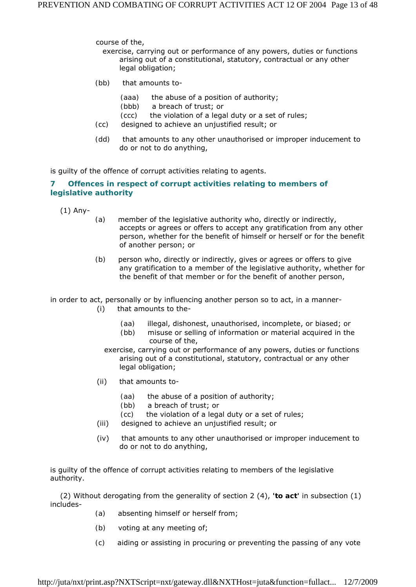course of the,

 exercise, carrying out or performance of any powers, duties or functions arising out of a constitutional, statutory, contractual or any other legal obligation;

 *(bb)* that amounts to-

*(aaa)* the abuse of a position of authority;

*(bbb)* a breach of trust; or

- *(ccc)* the violation of a legal duty or a set of rules;
- *(cc)* designed to achieve an unjustified result; or
- *(dd)* that amounts to any other unauthorised or improper inducement to do or not to do anything,

is guilty of the offence of corrupt activities relating to agents.

## **7 Offences in respect of corrupt activities relating to members of legislative authority**

(1) Any-

- *(a)* member of the legislative authority who, directly or indirectly, accepts or agrees or offers to accept any gratification from any other person, whether for the benefit of himself or herself or for the benefit of another person; or
- *(b)* person who, directly or indirectly, gives or agrees or offers to give any gratification to a member of the legislative authority, whether for the benefit of that member or for the benefit of another person,

in order to act, personally or by influencing another person so to act, in a manner-

- (i) that amounts to the-
	- *(aa)* illegal, dishonest, unauthorised, incomplete, or biased; or
	- *(bb)* misuse or selling of information or material acquired in the course of the,

 exercise, carrying out or performance of any powers, duties or functions arising out of a constitutional, statutory, contractual or any other legal obligation;

- (ii) that amounts to-
	- *(aa)* the abuse of a position of authority;
	- *(bb)* a breach of trust; or
	- *(cc)* the violation of a legal duty or a set of rules;
- (iii) designed to achieve an unjustified result; or
- (iv) that amounts to any other unauthorised or improper inducement to do or not to do anything,

is guilty of the offence of corrupt activities relating to members of the legislative authority.

 (2) Without derogating from the generality of section 2 (4), **'to act'** in subsection (1) includes-

- *(a)* absenting himself or herself from;
- *(b)* voting at any meeting of;
- *(c)* aiding or assisting in procuring or preventing the passing of any vote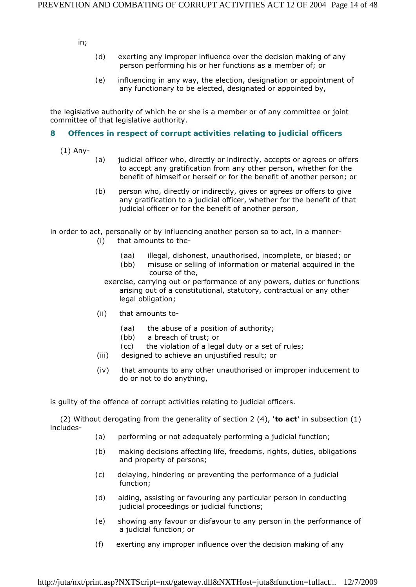in;

- *(d)* exerting any improper influence over the decision making of any person performing his or her functions as a member of; or
- *(e)* influencing in any way, the election, designation or appointment of any functionary to be elected, designated or appointed by,

the legislative authority of which he or she is a member or of any committee or joint committee of that legislative authority.

## **8 Offences in respect of corrupt activities relating to judicial officers**

- (1) Any-
- *(a)* judicial officer who, directly or indirectly, accepts or agrees or offers to accept any gratification from any other person, whether for the benefit of himself or herself or for the benefit of another person; or
- *(b)* person who, directly or indirectly, gives or agrees or offers to give any gratification to a judicial officer, whether for the benefit of that judicial officer or for the benefit of another person,

in order to act, personally or by influencing another person so to act, in a manner-

- (i) that amounts to the-
	- *(aa)* illegal, dishonest, unauthorised, incomplete, or biased; or
	- *(bb)* misuse or selling of information or material acquired in the course of the,

 exercise, carrying out or performance of any powers, duties or functions arising out of a constitutional, statutory, contractual or any other legal obligation;

- (ii) that amounts to-
	- *(aa)* the abuse of a position of authority;
	- *(bb)* a breach of trust; or
	- *(cc)* the violation of a legal duty or a set of rules;
- (iii) designed to achieve an unjustified result; or
- (iv) that amounts to any other unauthorised or improper inducement to do or not to do anything,

is guilty of the offence of corrupt activities relating to judicial officers.

 (2) Without derogating from the generality of section 2 (4), **'to act'** in subsection (1) includes-

- *(a)* performing or not adequately performing a judicial function;
- *(b)* making decisions affecting life, freedoms, rights, duties, obligations and property of persons;
- *(c)* delaying, hindering or preventing the performance of a judicial function;
- *(d)* aiding, assisting or favouring any particular person in conducting judicial proceedings or judicial functions;
- *(e)* showing any favour or disfavour to any person in the performance of a judicial function; or
- *(f)* exerting any improper influence over the decision making of any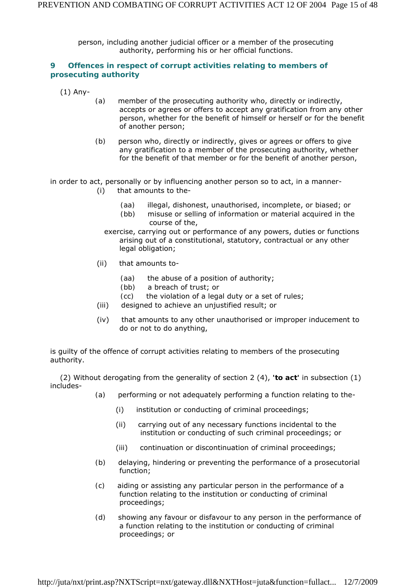person, including another judicial officer or a member of the prosecuting authority, performing his or her official functions.

# **9 Offences in respect of corrupt activities relating to members of prosecuting authority**

- (1) Any-
- *(a)* member of the prosecuting authority who, directly or indirectly, accepts or agrees or offers to accept any gratification from any other person, whether for the benefit of himself or herself or for the benefit of another person;
- *(b)* person who, directly or indirectly, gives or agrees or offers to give any gratification to a member of the prosecuting authority, whether for the benefit of that member or for the benefit of another person,

in order to act, personally or by influencing another person so to act, in a manner- (i) that amounts to the-

- *(aa)* illegal, dishonest, unauthorised, incomplete, or biased; or
- *(bb)* misuse or selling of information or material acquired in the course of the,

 exercise, carrying out or performance of any powers, duties or functions arising out of a constitutional, statutory, contractual or any other legal obligation;

- (ii) that amounts to-
	- *(aa)* the abuse of a position of authority;
	- *(bb)* a breach of trust; or
	- *(cc)* the violation of a legal duty or a set of rules;
- (iii) designed to achieve an unjustified result; or
- (iv) that amounts to any other unauthorised or improper inducement to do or not to do anything,

is guilty of the offence of corrupt activities relating to members of the prosecuting authority.

 (2) Without derogating from the generality of section 2 (4), **'to act'** in subsection (1) includes-

- *(a)* performing or not adequately performing a function relating to the-
	- (i) institution or conducting of criminal proceedings;
	- (ii) carrying out of any necessary functions incidental to the institution or conducting of such criminal proceedings; or
	- (iii) continuation or discontinuation of criminal proceedings;
- *(b)* delaying, hindering or preventing the performance of a prosecutorial function;
- *(c)* aiding or assisting any particular person in the performance of a function relating to the institution or conducting of criminal proceedings;
- *(d)* showing any favour or disfavour to any person in the performance of a function relating to the institution or conducting of criminal proceedings; or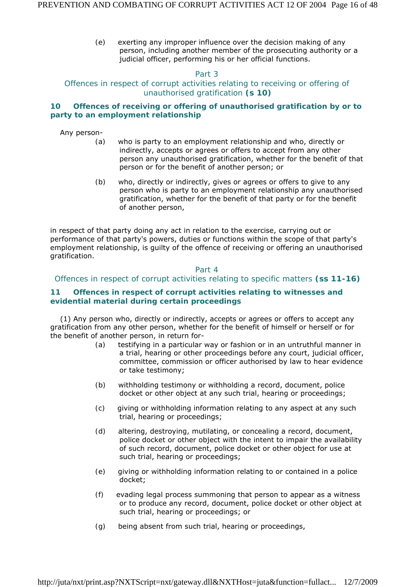*(e)* exerting any improper influence over the decision making of any person, including another member of the prosecuting authority or a judicial officer, performing his or her official functions.

## *Part 3*

# *Offences in respect of corrupt activities relating to receiving or offering of unauthorised gratification* **(s 10)**

## **10 Offences of receiving or offering of unauthorised gratification by or to party to an employment relationship**

Any person-

- *(a)* who is party to an employment relationship and who, directly or indirectly, accepts or agrees or offers to accept from any other person any unauthorised gratification, whether for the benefit of that person or for the benefit of another person; or
- *(b)* who, directly or indirectly, gives or agrees or offers to give to any person who is party to an employment relationship any unauthorised gratification, whether for the benefit of that party or for the benefit of another person,

in respect of that party doing any act in relation to the exercise, carrying out or performance of that party's powers, duties or functions within the scope of that party's employment relationship, is guilty of the offence of receiving or offering an unauthorised gratification.

#### *Part 4*

## *Offences in respect of corrupt activities relating to specific matters* **(ss 11-16)**

## **11 Offences in respect of corrupt activities relating to witnesses and evidential material during certain proceedings**

 (1) Any person who, directly or indirectly, accepts or agrees or offers to accept any gratification from any other person, whether for the benefit of himself or herself or for the benefit of another person, in return for-

- *(a)* testifying in a particular way or fashion or in an untruthful manner in a trial, hearing or other proceedings before any court, judicial officer, committee, commission or officer authorised by law to hear evidence or take testimony;
- *(b)* withholding testimony or withholding a record, document, police docket or other object at any such trial, hearing or proceedings;
- *(c)* giving or withholding information relating to any aspect at any such trial, hearing or proceedings;
- *(d)* altering, destroying, mutilating, or concealing a record, document, police docket or other object with the intent to impair the availability of such record, document, police docket or other object for use at such trial, hearing or proceedings;
- *(e)* giving or withholding information relating to or contained in a police docket;
- *(f)* evading legal process summoning that person to appear as a witness or to produce any record, document, police docket or other object at such trial, hearing or proceedings; or
- *(g)* being absent from such trial, hearing or proceedings,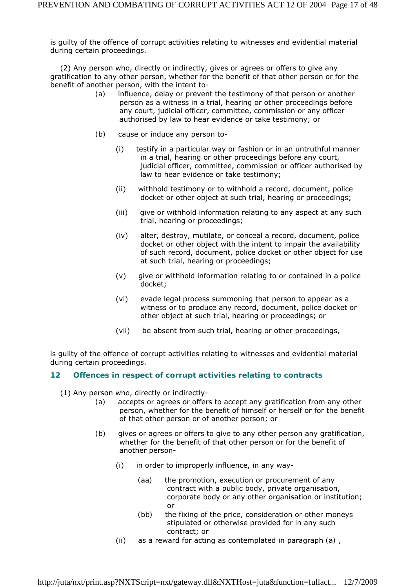is guilty of the offence of corrupt activities relating to witnesses and evidential material during certain proceedings.

 (2) Any person who, directly or indirectly, gives or agrees or offers to give any gratification to any other person, whether for the benefit of that other person or for the benefit of another person, with the intent to-

- *(a)* influence, delay or prevent the testimony of that person or another person as a witness in a trial, hearing or other proceedings before any court, judicial officer, committee, commission or any officer authorised by law to hear evidence or take testimony; or
- *(b)* cause or induce any person to-
	- (i) testify in a particular way or fashion or in an untruthful manner in a trial, hearing or other proceedings before any court, judicial officer, committee, commission or officer authorised by law to hear evidence or take testimony;
	- (ii) withhold testimony or to withhold a record, document, police docket or other object at such trial, hearing or proceedings;
	- (iii) give or withhold information relating to any aspect at any such trial, hearing or proceedings;
	- (iv) alter, destroy, mutilate, or conceal a record, document, police docket or other object with the intent to impair the availability of such record, document, police docket or other object for use at such trial, hearing or proceedings;
	- (v) give or withhold information relating to or contained in a police docket;
	- (vi) evade legal process summoning that person to appear as a witness or to produce any record, document, police docket or other object at such trial, hearing or proceedings; or
	- (vii) be absent from such trial, hearing or other proceedings,

is guilty of the offence of corrupt activities relating to witnesses and evidential material during certain proceedings.

## **12 Offences in respect of corrupt activities relating to contracts**

- (1) Any person who, directly or indirectly-
	- *(a)* accepts or agrees or offers to accept any gratification from any other person, whether for the benefit of himself or herself or for the benefit of that other person or of another person; or
	- *(b)* gives or agrees or offers to give to any other person any gratification, whether for the benefit of that other person or for the benefit of another person-
		- (i) in order to improperly influence, in any way-
			- *(aa)* the promotion, execution or procurement of any contract with a public body, private organisation, corporate body or any other organisation or institution; or
			- *(bb)* the fixing of the price, consideration or other moneys stipulated or otherwise provided for in any such contract; or
		- (ii) as a reward for acting as contemplated in paragraph *(a)* ,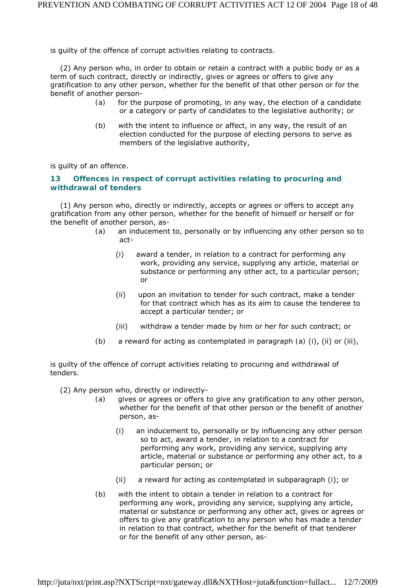is guilty of the offence of corrupt activities relating to contracts.

 (2) Any person who, in order to obtain or retain a contract with a public body or as a term of such contract, directly or indirectly, gives or agrees or offers to give any gratification to any other person, whether for the benefit of that other person or for the benefit of another person-

- *(a)* for the purpose of promoting, in any way, the election of a candidate or a category or party of candidates to the legislative authority; or
- *(b)* with the intent to influence or affect, in any way, the result of an election conducted for the purpose of electing persons to serve as members of the legislative authority,

is guilty of an offence.

## **13 Offences in respect of corrupt activities relating to procuring and withdrawal of tenders**

 (1) Any person who, directly or indirectly, accepts or agrees or offers to accept any gratification from any other person, whether for the benefit of himself or herself or for the benefit of another person, as-

- *(a)* an inducement to, personally or by influencing any other person so to act-
	- (i) award a tender, in relation to a contract for performing any work, providing any service, supplying any article, material or substance or performing any other act, to a particular person; or
	- (ii) upon an invitation to tender for such contract, make a tender for that contract which has as its aim to cause the tenderee to accept a particular tender; or
	- (iii) withdraw a tender made by him or her for such contract; or
- *(b)* a reward for acting as contemplated in paragraph *(a)* (i), (ii) or (iii),

is guilty of the offence of corrupt activities relating to procuring and withdrawal of tenders.

(2) Any person who, directly or indirectly-

- *(a)* gives or agrees or offers to give any gratification to any other person, whether for the benefit of that other person or the benefit of another person, as-
	- (i) an inducement to, personally or by influencing any other person so to act, award a tender, in relation to a contract for performing any work, providing any service, supplying any article, material or substance or performing any other act, to a particular person; or
	- (ii) a reward for acting as contemplated in subparagraph (i); or
- *(b)* with the intent to obtain a tender in relation to a contract for performing any work, providing any service, supplying any article, material or substance or performing any other act, gives or agrees or offers to give any gratification to any person who has made a tender in relation to that contract, whether for the benefit of that tenderer or for the benefit of any other person, as-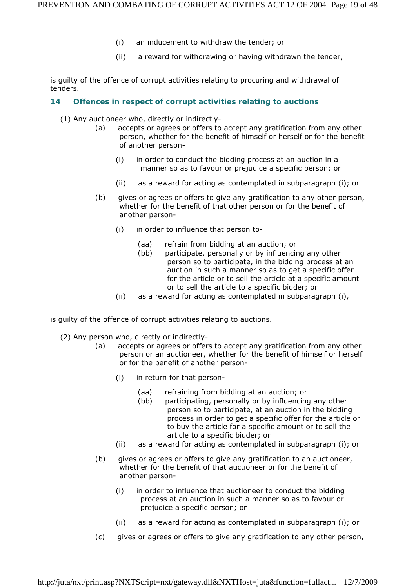- (i) an inducement to withdraw the tender; or
- (ii) a reward for withdrawing or having withdrawn the tender,

is guilty of the offence of corrupt activities relating to procuring and withdrawal of tenders.

## **14 Offences in respect of corrupt activities relating to auctions**

- (1) Any auctioneer who, directly or indirectly-
	- *(a)* accepts or agrees or offers to accept any gratification from any other person, whether for the benefit of himself or herself or for the benefit of another person-
		- (i) in order to conduct the bidding process at an auction in a manner so as to favour or prejudice a specific person; or
		- (ii) as a reward for acting as contemplated in subparagraph (i); or
	- *(b)* gives or agrees or offers to give any gratification to any other person, whether for the benefit of that other person or for the benefit of another person-
		- (i) in order to influence that person to-
			- *(aa)* refrain from bidding at an auction; or
			- *(bb)* participate, personally or by influencing any other person so to participate, in the bidding process at an auction in such a manner so as to get a specific offer for the article or to sell the article at a specific amount or to sell the article to a specific bidder; or
		- (ii) as a reward for acting as contemplated in subparagraph (i),

is guilty of the offence of corrupt activities relating to auctions.

- (2) Any person who, directly or indirectly-
	- *(a)* accepts or agrees or offers to accept any gratification from any other person or an auctioneer, whether for the benefit of himself or herself or for the benefit of another person-
		- (i) in return for that person-
			- *(aa)* refraining from bidding at an auction; or
			- *(bb)* participating, personally or by influencing any other person so to participate, at an auction in the bidding process in order to get a specific offer for the article or to buy the article for a specific amount or to sell the article to a specific bidder; or
		- (ii) as a reward for acting as contemplated in subparagraph (i); or
	- *(b)* gives or agrees or offers to give any gratification to an auctioneer, whether for the benefit of that auctioneer or for the benefit of another person-
		- (i) in order to influence that auctioneer to conduct the bidding process at an auction in such a manner so as to favour or prejudice a specific person; or
		- (ii) as a reward for acting as contemplated in subparagraph (i); or
	- *(c)* gives or agrees or offers to give any gratification to any other person,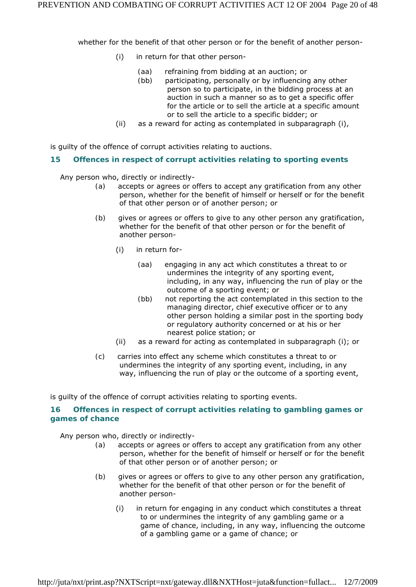whether for the benefit of that other person or for the benefit of another person-

- (i) in return for that other person-
	- *(aa)* refraining from bidding at an auction; or
	- *(bb)* participating, personally or by influencing any other person so to participate, in the bidding process at an auction in such a manner so as to get a specific offer for the article or to sell the article at a specific amount or to sell the article to a specific bidder; or
- (ii) as a reward for acting as contemplated in subparagraph (i),

is guilty of the offence of corrupt activities relating to auctions.

## **15 Offences in respect of corrupt activities relating to sporting events**

Any person who, directly or indirectly-

- *(a)* accepts or agrees or offers to accept any gratification from any other person, whether for the benefit of himself or herself or for the benefit of that other person or of another person; or
- *(b)* gives or agrees or offers to give to any other person any gratification, whether for the benefit of that other person or for the benefit of another person-
	- (i) in return for-
		- *(aa)* engaging in any act which constitutes a threat to or undermines the integrity of any sporting event, including, in any way, influencing the run of play or the outcome of a sporting event; or
		- *(bb)* not reporting the act contemplated in this section to the managing director, chief executive officer or to any other person holding a similar post in the sporting body or regulatory authority concerned or at his or her nearest police station; or
	- (ii) as a reward for acting as contemplated in subparagraph (i); or
- *(c)* carries into effect any scheme which constitutes a threat to or undermines the integrity of any sporting event, including, in any way, influencing the run of play or the outcome of a sporting event,

is guilty of the offence of corrupt activities relating to sporting events.

## **16 Offences in respect of corrupt activities relating to gambling games or games of chance**

Any person who, directly or indirectly-

- *(a)* accepts or agrees or offers to accept any gratification from any other person, whether for the benefit of himself or herself or for the benefit of that other person or of another person; or
- *(b)* gives or agrees or offers to give to any other person any gratification, whether for the benefit of that other person or for the benefit of another person-
	- (i) in return for engaging in any conduct which constitutes a threat to or undermines the integrity of any gambling game or a game of chance, including, in any way, influencing the outcome of a gambling game or a game of chance; or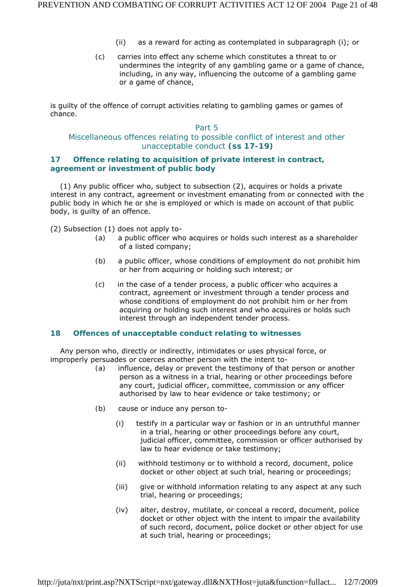- (ii) as a reward for acting as contemplated in subparagraph (i); or
- *(c)* carries into effect any scheme which constitutes a threat to or undermines the integrity of any gambling game or a game of chance, including, in any way, influencing the outcome of a gambling game or a game of chance,

is guilty of the offence of corrupt activities relating to gambling games or games of chance.

#### *Part 5*

## *Miscellaneous offences relating to possible conflict of interest and other unacceptable conduct* **(ss 17-19)**

## **17 Offence relating to acquisition of private interest in contract, agreement or investment of public body**

 (1) Any public officer who, subject to subsection (2), acquires or holds a private interest in any contract, agreement or investment emanating from or connected with the public body in which he or she is employed or which is made on account of that public body, is guilty of an offence.

(2) Subsection (1) does not apply to-

- *(a)* a public officer who acquires or holds such interest as a shareholder of a listed company;
- *(b)* a public officer, whose conditions of employment do not prohibit him or her from acquiring or holding such interest; or
- *(c)* in the case of a tender process, a public officer who acquires a contract, agreement or investment through a tender process and whose conditions of employment do not prohibit him or her from acquiring or holding such interest and who acquires or holds such interest through an independent tender process.

#### **18 Offences of unacceptable conduct relating to witnesses**

 Any person who, directly or indirectly, intimidates or uses physical force, or improperly persuades or coerces another person with the intent to-

- *(a)* influence, delay or prevent the testimony of that person or another person as a witness in a trial, hearing or other proceedings before any court, judicial officer, committee, commission or any officer authorised by law to hear evidence or take testimony; or
- *(b)* cause or induce any person to-
	- (i) testify in a particular way or fashion or in an untruthful manner in a trial, hearing or other proceedings before any court, judicial officer, committee, commission or officer authorised by law to hear evidence or take testimony;
	- (ii) withhold testimony or to withhold a record, document, police docket or other object at such trial, hearing or proceedings;
	- (iii) give or withhold information relating to any aspect at any such trial, hearing or proceedings;
	- (iv) alter, destroy, mutilate, or conceal a record, document, police docket or other object with the intent to impair the availability of such record, document, police docket or other object for use at such trial, hearing or proceedings;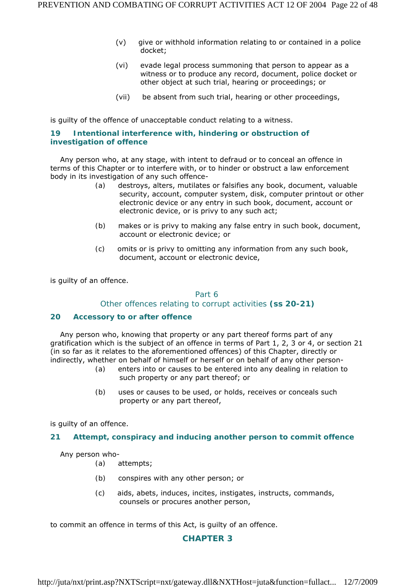- (v) give or withhold information relating to or contained in a police docket;
- (vi) evade legal process summoning that person to appear as a witness or to produce any record, document, police docket or other object at such trial, hearing or proceedings; or
- (vii) be absent from such trial, hearing or other proceedings,

is guilty of the offence of unacceptable conduct relating to a witness.

## **19 Intentional interference with, hindering or obstruction of investigation of offence**

 Any person who, at any stage, with intent to defraud or to conceal an offence in terms of this Chapter or to interfere with, or to hinder or obstruct a law enforcement body in its investigation of any such offence-

- *(a)* destroys, alters, mutilates or falsifies any book, document, valuable security, account, computer system, disk, computer printout or other electronic device or any entry in such book, document, account or electronic device, or is privy to any such act;
- *(b)* makes or is privy to making any false entry in such book, document, account or electronic device; or
- *(c)* omits or is privy to omitting any information from any such book, document, account or electronic device,

is guilty of an offence.

## *Part 6*

## *Other offences relating to corrupt activities* **(ss 20-21)**

#### **20 Accessory to or after offence**

 Any person who, knowing that property or any part thereof forms part of any gratification which is the subject of an offence in terms of Part 1, 2, 3 or 4, or section 21 (in so far as it relates to the aforementioned offences) of this Chapter, directly or indirectly, whether on behalf of himself or herself or on behalf of any other person-

- *(a)* enters into or causes to be entered into any dealing in relation to such property or any part thereof; or
- *(b)* uses or causes to be used, or holds, receives or conceals such property or any part thereof,

is guilty of an offence.

#### **21 Attempt, conspiracy and inducing another person to commit offence**

Any person who-

- *(a)* attempts;
- *(b)* conspires with any other person; or
- *(c)* aids, abets, induces, incites, instigates, instructs, commands, counsels or procures another person,

to commit an offence in terms of this Act, is guilty of an offence.

## **CHAPTER 3**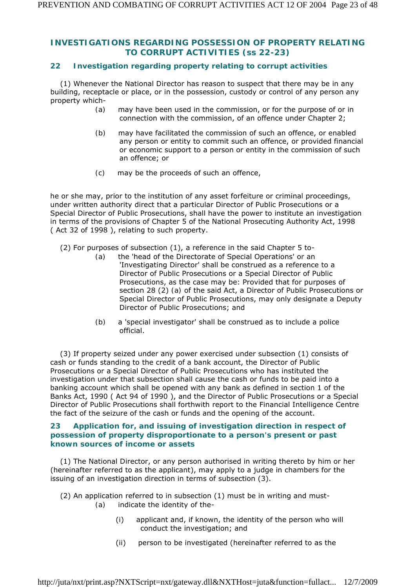# **INVESTIGATIONS REGARDING POSSESSION OF PROPERTY RELATING TO CORRUPT ACTIVITIES (ss 22-23)**

## **22 Investigation regarding property relating to corrupt activities**

 (1) Whenever the National Director has reason to suspect that there may be in any building, receptacle or place, or in the possession, custody or control of any person any property which-

- *(a)* may have been used in the commission, or for the purpose of or in connection with the commission, of an offence under Chapter 2;
- *(b)* may have facilitated the commission of such an offence, or enabled any person or entity to commit such an offence, or provided financial or economic support to a person or entity in the commission of such an offence; or
- *(c)* may be the proceeds of such an offence,

he or she may, prior to the institution of any asset forfeiture or criminal proceedings, under written authority direct that a particular Director of Public Prosecutions or a Special Director of Public Prosecutions, shall have the power to institute an investigation in terms of the provisions of Chapter 5 of the National Prosecuting Authority Act, 1998 ( Act 32 of 1998 ), relating to such property.

- (2) For purposes of subsection (1), a reference in the said Chapter 5 to-
	- *(a)* the 'head of the Directorate of Special Operations' or an 'Investigating Director' shall be construed as a reference to a Director of Public Prosecutions or a Special Director of Public Prosecutions, as the case may be: Provided that for purposes of section 28 (2) *(a)* of the said Act, a Director of Public Prosecutions or Special Director of Public Prosecutions, may only designate a Deputy Director of Public Prosecutions; and
	- *(b)* a 'special investigator' shall be construed as to include a police official.

 (3) If property seized under any power exercised under subsection (1) consists of cash or funds standing to the credit of a bank account, the Director of Public Prosecutions or a Special Director of Public Prosecutions who has instituted the investigation under that subsection shall cause the cash or funds to be paid into a banking account which shall be opened with any bank as defined in section 1 of the Banks Act, 1990 ( Act 94 of 1990 ), and the Director of Public Prosecutions or a Special Director of Public Prosecutions shall forthwith report to the Financial Intelligence Centre the fact of the seizure of the cash or funds and the opening of the account.

## **23 Application for, and issuing of investigation direction in respect of possession of property disproportionate to a person's present or past known sources of income or assets**

 (1) The National Director, or any person authorised in writing thereto by him or her (hereinafter referred to as the applicant), may apply to a judge in chambers for the issuing of an investigation direction in terms of subsection (3).

- (2) An application referred to in subsection (1) must be in writing and must- *(a)* indicate the identity of the-
	- (i) applicant and, if known, the identity of the person who will conduct the investigation; and
	- (ii) person to be investigated (hereinafter referred to as the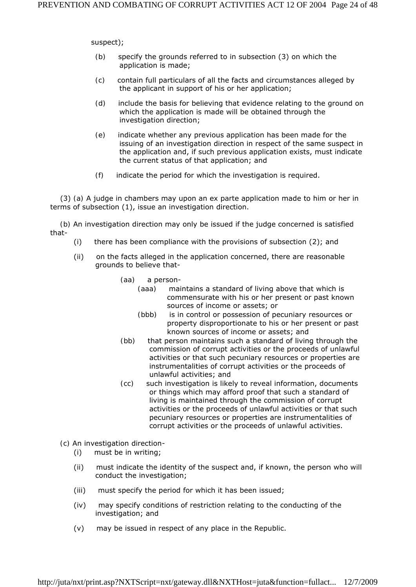suspect);

- *(b)* specify the grounds referred to in subsection (3) on which the application is made;
- *(c)* contain full particulars of all the facts and circumstances alleged by the applicant in support of his or her application;
- *(d)* include the basis for believing that evidence relating to the ground on which the application is made will be obtained through the investigation direction;
- *(e)* indicate whether any previous application has been made for the issuing of an investigation direction in respect of the same suspect in the application and, if such previous application exists, must indicate the current status of that application; and
- *(f)* indicate the period for which the investigation is required.

 (3) *(a)* A judge in chambers may upon an *ex parte* application made to him or her in terms of subsection (1), issue an investigation direction.

 *(b)* An investigation direction may only be issued if the judge concerned is satisfied that-

- (i) there has been compliance with the provisions of subsection (2); and
- (ii) on the facts alleged in the application concerned, there are reasonable grounds to believe that-
	- *(aa)* a person-
		- *(aaa)* maintains a standard of living above that which is commensurate with his or her present or past known sources of income or assets; or
		- *(bbb)* is in control or possession of pecuniary resources or property disproportionate to his or her present or past known sources of income or assets; and
	- *(bb)* that person maintains such a standard of living through the commission of corrupt activities or the proceeds of unlawful activities or that such pecuniary resources or properties are instrumentalities of corrupt activities or the proceeds of unlawful activities; and
	- *(cc)* such investigation is likely to reveal information, documents or things which may afford proof that such a standard of living is maintained through the commission of corrupt activities or the proceeds of unlawful activities or that such pecuniary resources or properties are instrumentalities of corrupt activities or the proceeds of unlawful activities.

*(c)* An investigation direction-

- (i) must be in writing;
- (ii) must indicate the identity of the suspect and, if known, the person who will conduct the investigation;
- (iii) must specify the period for which it has been issued;
- (iv) may specify conditions of restriction relating to the conducting of the investigation; and
- (v) may be issued in respect of any place in the Republic.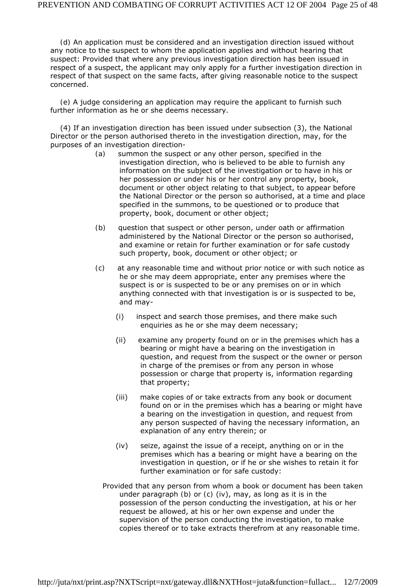*(d)* An application must be considered and an investigation direction issued without any notice to the suspect to whom the application applies and without hearing that suspect: Provided that where any previous investigation direction has been issued in respect of a suspect, the applicant may only apply for a further investigation direction in respect of that suspect on the same facts, after giving reasonable notice to the suspect concerned.

 *(e)* A judge considering an application may require the applicant to furnish such further information as he or she deems necessary.

 (4) If an investigation direction has been issued under subsection (3), the National Director or the person authorised thereto in the investigation direction, may, for the purposes of an investigation direction-

- *(a)* summon the suspect or any other person, specified in the investigation direction, who is believed to be able to furnish any information on the subject of the investigation or to have in his or her possession or under his or her control any property, book, document or other object relating to that subject, to appear before the National Director or the person so authorised, at a time and place specified in the summons, to be questioned or to produce that property, book, document or other object;
- *(b)* question that suspect or other person, under oath or affirmation administered by the National Director or the person so authorised, and examine or retain for further examination or for safe custody such property, book, document or other object; or
- *(c)* at any reasonable time and without prior notice or with such notice as he or she may deem appropriate, enter any premises where the suspect is or is suspected to be or any premises on or in which anything connected with that investigation is or is suspected to be, and may-
	- (i) inspect and search those premises, and there make such enquiries as he or she may deem necessary;
	- (ii) examine any property found on or in the premises which has a bearing or might have a bearing on the investigation in question, and request from the suspect or the owner or person in charge of the premises or from any person in whose possession or charge that property is, information regarding that property;
	- (iii) make copies of or take extracts from any book or document found on or in the premises which has a bearing or might have a bearing on the investigation in question, and request from any person suspected of having the necessary information, an explanation of any entry therein; or
	- (iv) seize, against the issue of a receipt, anything on or in the premises which has a bearing or might have a bearing on the investigation in question, or if he or she wishes to retain it for further examination or for safe custody:
	- Provided that any person from whom a book or document has been taken under paragraph *(b)* or *(c)* (iv), may, as long as it is in the possession of the person conducting the investigation, at his or her request be allowed, at his or her own expense and under the supervision of the person conducting the investigation, to make copies thereof or to take extracts therefrom at any reasonable time.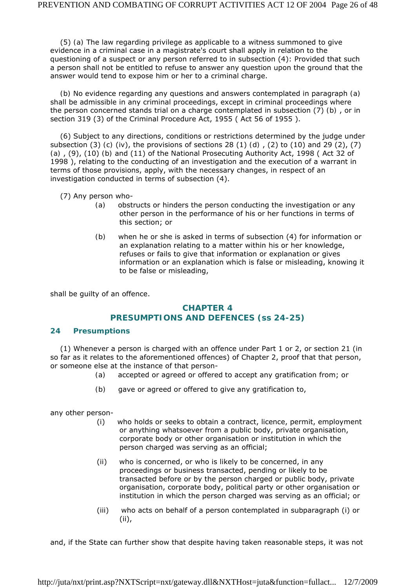(5) *(a)* The law regarding privilege as applicable to a witness summoned to give evidence in a criminal case in a magistrate's court shall apply in relation to the questioning of a suspect or any person referred to in subsection (4): Provided that such a person shall not be entitled to refuse to answer any question upon the ground that the answer would tend to expose him or her to a criminal charge.

 *(b)* No evidence regarding any questions and answers contemplated in paragraph *(a)*  shall be admissible in any criminal proceedings, except in criminal proceedings where the person concerned stands trial on a charge contemplated in subsection (7) *(b)* , or in section 319 (3) of the Criminal Procedure Act, 1955 ( Act 56 of 1955 ).

 (6) Subject to any directions, conditions or restrictions determined by the judge under subsection (3) *(c)* (iv), the provisions of sections 28 (1) *(d)* , (2) to (10) and 29 (2), (7) *(a)* , (9), (10) *(b)* and (11) of the National Prosecuting Authority Act, 1998 ( Act 32 of 1998 ), relating to the conducting of an investigation and the execution of a warrant in terms of those provisions, apply, with the necessary changes, in respect of an investigation conducted in terms of subsection (4).

(7) Any person who-

- *(a)* obstructs or hinders the person conducting the investigation or any other person in the performance of his or her functions in terms of this section; or
- *(b)* when he or she is asked in terms of subsection (4) for information or an explanation relating to a matter within his or her knowledge, refuses or fails to give that information or explanation or gives information or an explanation which is false or misleading, knowing it to be false or misleading,

shall be guilty of an offence.

#### **CHAPTER 4**

# **PRESUMPTIONS AND DEFENCES (ss 24-25)**

#### **24 Presumptions**

 (1) Whenever a person is charged with an offence under Part 1 or 2, or section 21 (in so far as it relates to the aforementioned offences) of Chapter 2, proof that that person, or someone else at the instance of that person-

- *(a)* accepted or agreed or offered to accept any gratification from; or
- *(b)* gave or agreed or offered to give any gratification to,

any other person-

- (i) who holds or seeks to obtain a contract, licence, permit, employment or anything whatsoever from a public body, private organisation, corporate body or other organisation or institution in which the person charged was serving as an official;
- (ii) who is concerned, or who is likely to be concerned, in any proceedings or business transacted, pending or likely to be transacted before or by the person charged or public body, private organisation, corporate body, political party or other organisation or institution in which the person charged was serving as an official; or
- (iii) who acts on behalf of a person contemplated in subparagraph (i) or (ii),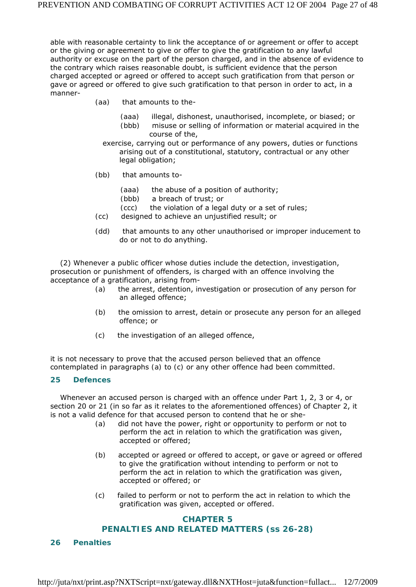able with reasonable certainty to link the acceptance of or agreement or offer to accept or the giving or agreement to give or offer to give the gratification to any lawful authority or excuse on the part of the person charged, and in the absence of evidence to the contrary which raises reasonable doubt, is sufficient evidence that the person charged accepted or agreed or offered to accept such gratification from that person or gave or agreed or offered to give such gratification to that person in order to act, in a manner-

- *(aa)* that amounts to the-
	- *(aaa)* illegal, dishonest, unauthorised, incomplete, or biased; or
	- *(bbb)* misuse or selling of information or material acquired in the course of the,
	- exercise, carrying out or performance of any powers, duties or functions arising out of a constitutional, statutory, contractual or any other legal obligation;
- *(bb)* that amounts to-
	- *(aaa)* the abuse of a position of authority;
	- *(bbb)* a breach of trust; or
	- *(ccc)* the violation of a legal duty or a set of rules;
- *(cc)* designed to achieve an unjustified result; or
- *(dd)* that amounts to any other unauthorised or improper inducement to do or not to do anything.

 (2) Whenever a public officer whose duties include the detection, investigation, prosecution or punishment of offenders, is charged with an offence involving the acceptance of a gratification, arising from-

- *(a)* the arrest, detention, investigation or prosecution of any person for an alleged offence;
- *(b)* the omission to arrest, detain or prosecute any person for an alleged offence; or
- *(c)* the investigation of an alleged offence,

it is not necessary to prove that the accused person believed that an offence contemplated in paragraphs *(a)* to *(c)* or any other offence had been committed.

#### **25 Defences**

 Whenever an accused person is charged with an offence under Part 1, 2, 3 or 4, or section 20 or 21 (in so far as it relates to the aforementioned offences) of Chapter 2, it is not a valid defence for that accused person to contend that he or she-

- *(a)* did not have the power, right or opportunity to perform or not to perform the act in relation to which the gratification was given, accepted or offered;
- *(b)* accepted or agreed or offered to accept, or gave or agreed or offered to give the gratification without intending to perform or not to perform the act in relation to which the gratification was given, accepted or offered; or
- *(c)* failed to perform or not to perform the act in relation to which the gratification was given, accepted or offered.

# **CHAPTER 5 PENALTIES AND RELATED MATTERS (ss 26-28)**

**26 Penalties**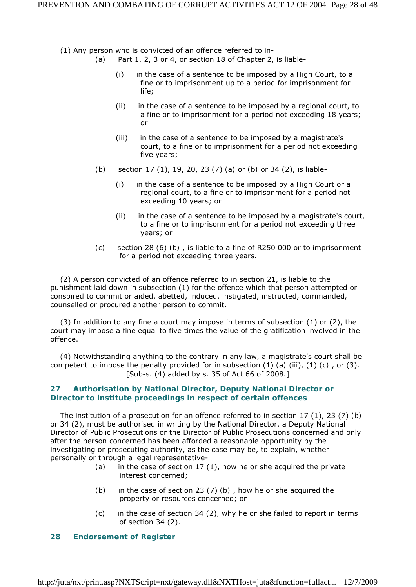(1) Any person who is convicted of an offence referred to in-

- *(a)* Part 1, 2, 3 or 4, or section 18 of Chapter 2, is liable-
	- (i) in the case of a sentence to be imposed by a High Court, to a fine or to imprisonment up to a period for imprisonment for life;
	- (ii) in the case of a sentence to be imposed by a regional court, to a fine or to imprisonment for a period not exceeding 18 years; or
	- (iii) in the case of a sentence to be imposed by a magistrate's court, to a fine or to imprisonment for a period not exceeding five years;
- *(b)* section 17 (1), 19, 20, 23 (7) *(a)* or *(b)* or 34 (2), is liable-
	- (i) in the case of a sentence to be imposed by a High Court or a regional court, to a fine or to imprisonment for a period not exceeding 10 years; or
	- (ii) in the case of a sentence to be imposed by a magistrate's court, to a fine or to imprisonment for a period not exceeding three years; or
- *(c)* section 28 (6) *(b)* , is liable to a fine of R250 000 or to imprisonment for a period not exceeding three years.

 (2) A person convicted of an offence referred to in section 21, is liable to the punishment laid down in subsection (1) for the offence which that person attempted or conspired to commit or aided, abetted, induced, instigated, instructed, commanded, counselled or procured another person to commit.

 (3) In addition to any fine a court may impose in terms of subsection (1) or (2), the court may impose a fine equal to five times the value of the gratification involved in the offence.

 (4) Notwithstanding anything to the contrary in any law, a magistrate's court shall be competent to impose the penalty provided for in subsection (1) *(a)* (iii), (1) *(c)* , or (3). [Sub-s. (4) added by s. 35 of Act 66 of 2008.]

## **27 Authorisation by National Director, Deputy National Director or Director to institute proceedings in respect of certain offences**

 The institution of a prosecution for an offence referred to in section 17 (1), 23 (7) *(b)*  or 34 (2), must be authorised in writing by the National Director, a Deputy National Director of Public Prosecutions or the Director of Public Prosecutions concerned and only after the person concerned has been afforded a reasonable opportunity by the investigating or prosecuting authority, as the case may be, to explain, whether personally or through a legal representative-

- *(a)* in the case of section 17 (1), how he or she acquired the private interest concerned;
- *(b)* in the case of section 23 (7) *(b)* , how he or she acquired the property or resources concerned; or
- *(c)* in the case of section 34 (2), why he or she failed to report in terms of section 34 (2).

## **28 Endorsement of Register**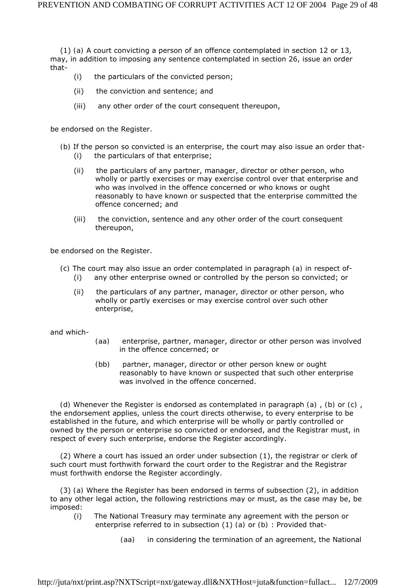(1) *(a)* A court convicting a person of an offence contemplated in section 12 or 13, may, in addition to imposing any sentence contemplated in section 26, issue an order that-

- (i) the particulars of the convicted person;
- (ii) the conviction and sentence; and
- (iii) any other order of the court consequent thereupon,

be endorsed on the Register.

- *(b)* If the person so convicted is an enterprise, the court may also issue an order that-
	- (i) the particulars of that enterprise;
	- (ii) the particulars of any partner, manager, director or other person, who wholly or partly exercises or may exercise control over that enterprise and who was involved in the offence concerned or who knows or ought reasonably to have known or suspected that the enterprise committed the offence concerned; and
	- (iii) the conviction, sentence and any other order of the court consequent thereupon,

be endorsed on the Register.

*(c)* The court may also issue an order contemplated in paragraph *(a)* in respect of-

- (i) any other enterprise owned or controlled by the person so convicted; or
- (ii) the particulars of any partner, manager, director or other person, who wholly or partly exercises or may exercise control over such other enterprise,

and which-

- *(aa)* enterprise, partner, manager, director or other person was involved in the offence concerned; or
- *(bb)* partner, manager, director or other person knew or ought reasonably to have known or suspected that such other enterprise was involved in the offence concerned.

 *(d)* Whenever the Register is endorsed as contemplated in paragraph *(a)* , *(b)* or *(c)* , the endorsement applies, unless the court directs otherwise, to every enterprise to be established in the future, and which enterprise will be wholly or partly controlled or owned by the person or enterprise so convicted or endorsed, and the Registrar must, in respect of every such enterprise, endorse the Register accordingly.

 (2) Where a court has issued an order under subsection (1), the registrar or clerk of such court must forthwith forward the court order to the Registrar and the Registrar must forthwith endorse the Register accordingly.

 (3) *(a)* Where the Register has been endorsed in terms of subsection (2), in addition to any other legal action, the following restrictions may or must, as the case may be, be imposed:

- (i) The National Treasury may terminate any agreement with the person or enterprise referred to in subsection (1) *(a)* or *(b)* : Provided that-
	- *(aa)* in considering the termination of an agreement, the National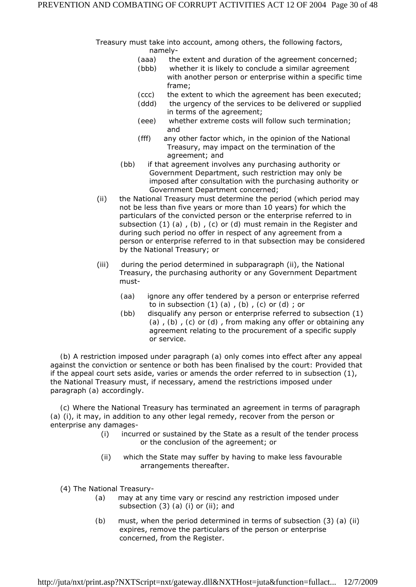Treasury must take into account, among others, the following factors, namely-

- *(aaa)* the extent and duration of the agreement concerned;
- *(bbb)* whether it is likely to conclude a similar agreement with another person or enterprise within a specific time frame;
- *(ccc)* the extent to which the agreement has been executed;
- *(ddd)* the urgency of the services to be delivered or supplied in terms of the agreement;
- *(eee)* whether extreme costs will follow such termination; and
- *(fff)* any other factor which, in the opinion of the National Treasury, may impact on the termination of the agreement; and
- *(bb)* if that agreement involves any purchasing authority or Government Department, such restriction may only be imposed after consultation with the purchasing authority or Government Department concerned;
- (ii) the National Treasury must determine the period (which period may not be less than five years or more than 10 years) for which the particulars of the convicted person or the enterprise referred to in subsection (1) *(a)* , *(b)* , *(c)* or *(d)* must remain in the Register and during such period no offer in respect of any agreement from a person or enterprise referred to in that subsection may be considered by the National Treasury; or
- (iii) during the period determined in subparagraph (ii), the National Treasury, the purchasing authority or any Government Department must-
	- *(aa)* ignore any offer tendered by a person or enterprise referred to in subsection (1) *(a)* , *(b)* , *(c)* or *(d)* ; or
	- *(bb)* disqualify any person or enterprise referred to subsection (1) *(a)* , *(b)* , *(c)* or *(d)* , from making any offer or obtaining any agreement relating to the procurement of a specific supply or service.

 *(b)* A restriction imposed under paragraph *(a)* only comes into effect after any appeal against the conviction or sentence or both has been finalised by the court: Provided that if the appeal court sets aside, varies or amends the order referred to in subsection (1), the National Treasury must, if necessary, amend the restrictions imposed under paragraph *(a)* accordingly.

 *(c)* Where the National Treasury has terminated an agreement in terms of paragraph *(a)* (i), it may, in addition to any other legal remedy, recover from the person or enterprise any damages-

- (i) incurred or sustained by the State as a result of the tender process or the conclusion of the agreement; or
- (ii) which the State may suffer by having to make less favourable arrangements thereafter.

(4) The National Treasury-

- *(a)* may at any time vary or rescind any restriction imposed under subsection (3) *(a)* (i) or (ii); and
- *(b)* must, when the period determined in terms of subsection (3) *(a)* (ii) expires, remove the particulars of the person or enterprise concerned, from the Register.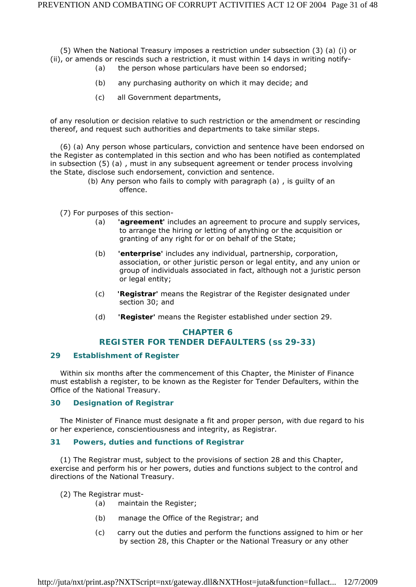(5) When the National Treasury imposes a restriction under subsection (3) *(a)* (i) or (ii), or amends or rescinds such a restriction, it must within 14 days in writing notify- *(a)* the person whose particulars have been so endorsed;

- *(b)* any purchasing authority on which it may decide; and
- *(c)* all Government departments,

of any resolution or decision relative to such restriction or the amendment or rescinding thereof, and request such authorities and departments to take similar steps.

 (6) *(a)* Any person whose particulars, conviction and sentence have been endorsed on the Register as contemplated in this section and who has been notified as contemplated in subsection (5) *(a)* , must in any subsequent agreement or tender process involving the State, disclose such endorsement, conviction and sentence.

> *(b)* Any person who fails to comply with paragraph *(a)* , is guilty of an offence.

(7) For purposes of this section-

- *(a)* **'agreement'** includes an agreement to procure and supply services, to arrange the hiring or letting of anything or the acquisition or granting of any right for or on behalf of the State;
- *(b)* **'enterprise'** includes any individual, partnership, corporation, association, or other juristic person or legal entity, and any union or group of individuals associated in fact, although not a juristic person or legal entity;
- *(c)* **'Registrar'** means the Registrar of the Register designated under section 30; and
- *(d)* **'Register'** means the Register established under section 29.

# **CHAPTER 6 REGISTER FOR TENDER DEFAULTERS (ss 29-33)**

#### **29 Establishment of Register**

 Within six months after the commencement of this Chapter, the Minister of Finance must establish a register, to be known as the Register for Tender Defaulters, within the Office of the National Treasury.

#### **30 Designation of Registrar**

 The Minister of Finance must designate a fit and proper person, with due regard to his or her experience, conscientiousness and integrity, as Registrar.

#### **31 Powers, duties and functions of Registrar**

 (1) The Registrar must, subject to the provisions of section 28 and this Chapter, exercise and perform his or her powers, duties and functions subject to the control and directions of the National Treasury.

- (2) The Registrar must-
	- *(a)* maintain the Register;
	- *(b)* manage the Office of the Registrar; and
	- *(c)* carry out the duties and perform the functions assigned to him or her by section 28, this Chapter or the National Treasury or any other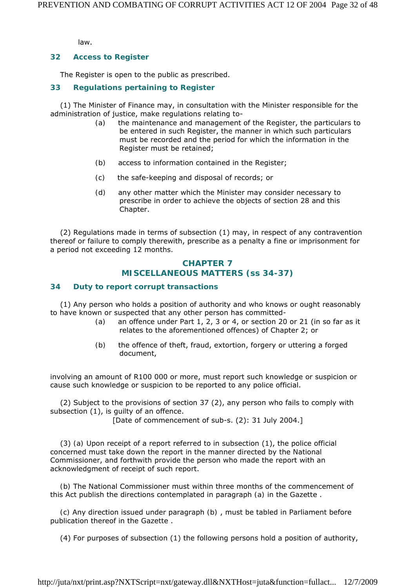law.

## **32 Access to Register**

The Register is open to the public as prescribed.

## **33 Regulations pertaining to Register**

 (1) The Minister of Finance may, in consultation with the Minister responsible for the administration of justice, make regulations relating to-

- *(a)* the maintenance and management of the Register, the particulars to be entered in such Register, the manner in which such particulars must be recorded and the period for which the information in the Register must be retained;
- *(b)* access to information contained in the Register;
- *(c)* the safe-keeping and disposal of records; or
- *(d)* any other matter which the Minister may consider necessary to prescribe in order to achieve the objects of section 28 and this Chapter.

 (2) Regulations made in terms of subsection (1) may, in respect of any contravention thereof or failure to comply therewith, prescribe as a penalty a fine or imprisonment for a period not exceeding 12 months.

# **CHAPTER 7 MISCELLANEOUS MATTERS (ss 34-37)**

## **34 Duty to report corrupt transactions**

 (1) Any person who holds a position of authority and who knows or ought reasonably to have known or suspected that any other person has committed-

- *(a)* an offence under Part 1, 2, 3 or 4, or section 20 or 21 (in so far as it relates to the aforementioned offences) of Chapter 2; or
- *(b)* the offence of theft, fraud, extortion, forgery or uttering a forged document,

involving an amount of R100 000 or more, must report such knowledge or suspicion or cause such knowledge or suspicion to be reported to any police official.

 (2) Subject to the provisions of section 37 (2), any person who fails to comply with subsection (1), is quilty of an offence.

[Date of commencement of sub-s. (2): 31 July 2004.]

 (3) *(a)* Upon receipt of a report referred to in subsection (1), the police official concerned must take down the report in the manner directed by the National Commissioner, and forthwith provide the person who made the report with an acknowledgment of receipt of such report.

 *(b)* The National Commissioner must within three months of the commencement of this Act publish the directions contemplated in paragraph *(a)* in the *Gazette* .

 *(c)* Any direction issued under paragraph *(b)* , must be tabled in Parliament before publication thereof in the *Gazette* .

(4) For purposes of subsection (1) the following persons hold a position of authority,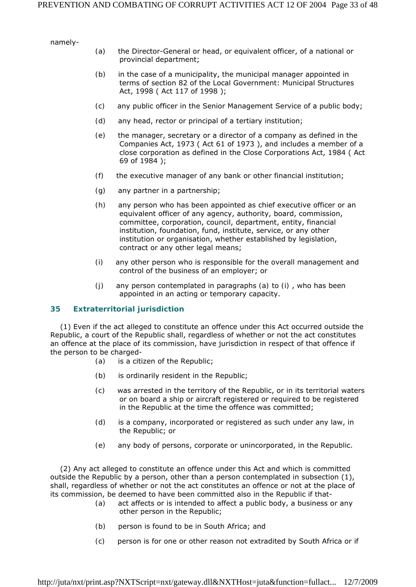namely-

- *(a)* the Director-General or head, or equivalent officer, of a national or provincial department;
- *(b)* in the case of a municipality, the municipal manager appointed in terms of section 82 of the Local Government: Municipal Structures Act, 1998 ( Act 117 of 1998 );
- *(c)* any public officer in the Senior Management Service of a public body;
- *(d)* any head, rector or principal of a tertiary institution;
- *(e)* the manager, secretary or a director of a company as defined in the Companies Act, 1973 ( Act 61 of 1973 ), and includes a member of a close corporation as defined in the Close Corporations Act, 1984 ( Act 69 of 1984 );
- *(f)* the executive manager of any bank or other financial institution;
- *(g)* any partner in a partnership;
- *(h)* any person who has been appointed as chief executive officer or an equivalent officer of any agency, authority, board, commission, committee, corporation, council, department, entity, financial institution, foundation, fund, institute, service, or any other institution or organisation, whether established by legislation, contract or any other legal means;
- *(i)* any other person who is responsible for the overall management and control of the business of an employer; or
- *(j)* any person contemplated in paragraphs *(a)* to *(i)* , who has been appointed in an acting or temporary capacity.

## **35 Extraterritorial jurisdiction**

 (1) Even if the act alleged to constitute an offence under this Act occurred outside the Republic, a court of the Republic shall, regardless of whether or not the act constitutes an offence at the place of its commission, have jurisdiction in respect of that offence if the person to be charged-

- *(a)* is a citizen of the Republic;
- *(b)* is ordinarily resident in the Republic;
- *(c)* was arrested in the territory of the Republic, or in its territorial waters or on board a ship or aircraft registered or required to be registered in the Republic at the time the offence was committed;
- *(d)* is a company, incorporated or registered as such under any law, in the Republic; or
- *(e)* any body of persons, corporate or unincorporated, in the Republic.

 (2) Any act alleged to constitute an offence under this Act and which is committed outside the Republic by a person, other than a person contemplated in subsection (1), shall, regardless of whether or not the act constitutes an offence or not at the place of its commission, be deemed to have been committed also in the Republic if that-

- *(a)* act affects or is intended to affect a public body, a business or any other person in the Republic;
- *(b)* person is found to be in South Africa; and
- *(c)* person is for one or other reason not extradited by South Africa or if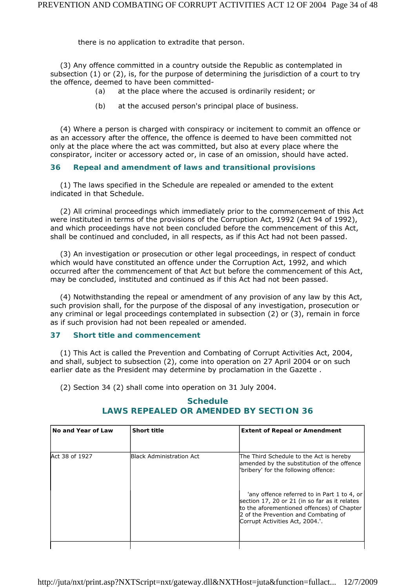there is no application to extradite that person.

 (3) Any offence committed in a country outside the Republic as contemplated in subsection (1) or (2), is, for the purpose of determining the jurisdiction of a court to try the offence, deemed to have been committed-

- *(a)* at the place where the accused is ordinarily resident; or
- *(b)* at the accused person's principal place of business.

 (4) Where a person is charged with conspiracy or incitement to commit an offence or as an accessory after the offence, the offence is deemed to have been committed not only at the place where the act was committed, but also at every place where the conspirator, inciter or accessory acted or, in case of an omission, should have acted.

#### **36 Repeal and amendment of laws and transitional provisions**

 (1) The laws specified in the Schedule are repealed or amended to the extent indicated in that Schedule.

 (2) All criminal proceedings which immediately prior to the commencement of this Act were instituted in terms of the provisions of the Corruption Act, 1992 (Act 94 of 1992), and which proceedings have not been concluded before the commencement of this Act, shall be continued and concluded, in all respects, as if this Act had not been passed.

 (3) An investigation or prosecution or other legal proceedings, in respect of conduct which would have constituted an offence under the Corruption Act, 1992, and which occurred after the commencement of that Act but before the commencement of this Act, may be concluded, instituted and continued as if this Act had not been passed.

 (4) Notwithstanding the repeal or amendment of any provision of any law by this Act, such provision shall, for the purpose of the disposal of any investigation, prosecution or any criminal or legal proceedings contemplated in subsection (2) or (3), remain in force as if such provision had not been repealed or amended.

#### **37 Short title and commencement**

 (1) This Act is called the Prevention and Combating of Corrupt Activities Act, 2004, and shall, subject to subsection (2), come into operation on 27 April 2004 or on such earlier date as the President may determine by proclamation in the *Gazette* .

(2) Section 34 (2) shall come into operation on 31 July 2004.

# **Schedule LAWS REPEALED OR AMENDED BY SECTION 36**

| No and Year of Law | <b>Short title</b>              | <b>Extent of Repeal or Amendment</b>                                                                                                                                                                                  |
|--------------------|---------------------------------|-----------------------------------------------------------------------------------------------------------------------------------------------------------------------------------------------------------------------|
| Act 38 of 1927     | <b>Black Administration Act</b> | The Third Schedule to the Act is hereby<br>amended by the substitution of the offence<br>"bribery' for the following offence:                                                                                         |
|                    |                                 | 'any offence referred to in Part 1 to 4, or<br>section 17, 20 or 21 (in so far as it relates<br>to the aforementioned offences) of Chapter<br>2 of the Prevention and Combating of<br>Corrupt Activities Act, 2004.'. |
|                    |                                 |                                                                                                                                                                                                                       |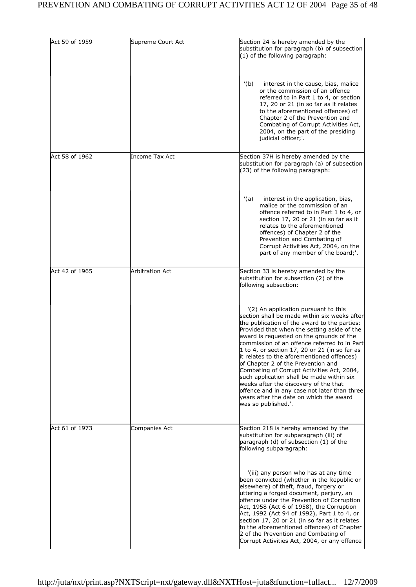| Act 59 of 1959 | Supreme Court Act      | Section 24 is hereby amended by the<br>substitution for paragraph (b) of subsection<br>(1) of the following paragraph:                                                                                                                                                                                                                                                                                                                                                                                                                                                                                                                                                      |
|----------------|------------------------|-----------------------------------------------------------------------------------------------------------------------------------------------------------------------------------------------------------------------------------------------------------------------------------------------------------------------------------------------------------------------------------------------------------------------------------------------------------------------------------------------------------------------------------------------------------------------------------------------------------------------------------------------------------------------------|
|                |                        | '(b)<br>interest in the cause, bias, malice<br>or the commission of an offence<br>referred to in Part 1 to 4, or section<br>17, 20 or 21 (in so far as it relates<br>to the aforementioned offences) of<br>Chapter 2 of the Prevention and<br>Combating of Corrupt Activities Act,<br>2004, on the part of the presiding<br>judicial officer;'.                                                                                                                                                                                                                                                                                                                             |
| Act 58 of 1962 | <b>Income Tax Act</b>  | Section 37H is hereby amended by the<br>substitution for paragraph (a) of subsection<br>(23) of the following paragraph:                                                                                                                                                                                                                                                                                                                                                                                                                                                                                                                                                    |
|                |                        | '(a)<br>interest in the application, bias,<br>malice or the commission of an<br>offence referred to in Part 1 to 4, or<br>section 17, 20 or 21 (in so far as it<br>relates to the aforementioned<br>offences) of Chapter 2 of the<br>Prevention and Combating of<br>Corrupt Activities Act, 2004, on the<br>part of any member of the board;'.                                                                                                                                                                                                                                                                                                                              |
| Act 42 of 1965 | <b>Arbitration Act</b> | Section 33 is hereby amended by the<br>substitution for subsection (2) of the<br>following subsection:                                                                                                                                                                                                                                                                                                                                                                                                                                                                                                                                                                      |
|                |                        | '(2) An application pursuant to this<br>section shall be made within six weeks after<br>the publication of the award to the parties:<br>Provided that when the setting aside of the<br>award is requested on the grounds of the<br>commission of an offence referred to in Part<br>1 to 4, or section 17, 20 or 21 (in so far as<br>it relates to the aforementioned offences)<br>of Chapter 2 of the Prevention and<br>Combating of Corrupt Activities Act, 2004,<br>such application shall be made within six<br>weeks after the discovery of the that<br>offence and in any case not later than three<br>lvears after the date on which the award<br>was so published.'. |
| Act 61 of 1973 | Companies Act          | Section 218 is hereby amended by the<br>substitution for subparagraph (iii) of<br>paragraph $(d)$ of subsection $(1)$ of the<br>following subparagraph:                                                                                                                                                                                                                                                                                                                                                                                                                                                                                                                     |
|                |                        | '(iii) any person who has at any time<br>been convicted (whether in the Republic or<br>elsewhere) of theft, fraud, forgery or<br>uttering a forged document, perjury, an<br>offence under the Prevention of Corruption<br>Act, 1958 (Act 6 of 1958), the Corruption<br>Act, 1992 (Act 94 of 1992), Part 1 to 4, or<br>section 17, 20 or 21 (in so far as it relates<br>to the aforementioned offences) of Chapter<br>2 of the Prevention and Combating of<br>Corrupt Activities Act, 2004, or any offence                                                                                                                                                                   |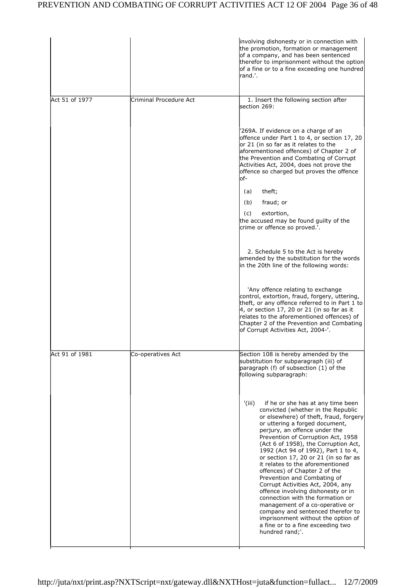|                |                        | involving dishonesty or in connection with<br>the promotion, formation or management<br>of a company, and has been sentenced<br>therefor to imprisonment without the option<br>of a fine or to a fine exceeding one hundred<br>rand.'.                                                                                                                                                                                                                                                                                                                                                                                                                                                                                                                           |
|----------------|------------------------|------------------------------------------------------------------------------------------------------------------------------------------------------------------------------------------------------------------------------------------------------------------------------------------------------------------------------------------------------------------------------------------------------------------------------------------------------------------------------------------------------------------------------------------------------------------------------------------------------------------------------------------------------------------------------------------------------------------------------------------------------------------|
| Act 51 of 1977 | Criminal Procedure Act | 1. Insert the following section after<br>section 269:                                                                                                                                                                                                                                                                                                                                                                                                                                                                                                                                                                                                                                                                                                            |
|                |                        | '269A. If evidence on a charge of an<br>offence under Part 1 to 4, or section 17, 20<br>or 21 (in so far as it relates to the<br>aforementioned offences) of Chapter 2 of<br>the Prevention and Combating of Corrupt<br>Activities Act, 2004, does not prove the<br>offence so charged but proves the offence<br>of-                                                                                                                                                                                                                                                                                                                                                                                                                                             |
|                |                        | theft;<br>(a)                                                                                                                                                                                                                                                                                                                                                                                                                                                                                                                                                                                                                                                                                                                                                    |
|                |                        | fraud; or<br>(b)                                                                                                                                                                                                                                                                                                                                                                                                                                                                                                                                                                                                                                                                                                                                                 |
|                |                        | extortion,<br>(c)<br>the accused may be found guilty of the<br>crime or offence so proved.'.                                                                                                                                                                                                                                                                                                                                                                                                                                                                                                                                                                                                                                                                     |
|                |                        | 2. Schedule 5 to the Act is hereby<br>amended by the substitution for the words<br>in the 20th line of the following words:                                                                                                                                                                                                                                                                                                                                                                                                                                                                                                                                                                                                                                      |
|                |                        | 'Any offence relating to exchange<br>control, extortion, fraud, forgery, uttering,<br>theft, or any offence referred to in Part 1 to<br>4, or section 17, 20 or 21 (in so far as it<br>relates to the aforementioned offences) of<br>Chapter 2 of the Prevention and Combating<br>of Corrupt Activities Act, 2004-'.                                                                                                                                                                                                                                                                                                                                                                                                                                             |
| Act 91 of 1981 | Co-operatives Act      | Section 108 is hereby amended by the<br>substitution for subparagraph (iii) of<br>$\beta$ paragraph (f) of subsection (1) of the<br>following subparagraph:                                                                                                                                                                                                                                                                                                                                                                                                                                                                                                                                                                                                      |
|                |                        | $^{\prime}$ (iii)<br>if he or she has at any time been<br>convicted (whether in the Republic<br>or elsewhere) of theft, fraud, forgery<br>or uttering a forged document,<br>perjury, an offence under the<br>Prevention of Corruption Act, 1958<br>(Act 6 of 1958), the Corruption Act,<br>1992 (Act 94 of 1992), Part 1 to 4,<br>or section 17, 20 or 21 (in so far as<br>it relates to the aforementioned<br>offences) of Chapter 2 of the<br>Prevention and Combating of<br>Corrupt Activities Act, 2004, any<br>offence involving dishonesty or in<br>connection with the formation or<br>management of a co-operative or<br>company and sentenced therefor to<br>imprisonment without the option of<br>a fine or to a fine exceeding two<br>hundred rand;'. |
|                |                        |                                                                                                                                                                                                                                                                                                                                                                                                                                                                                                                                                                                                                                                                                                                                                                  |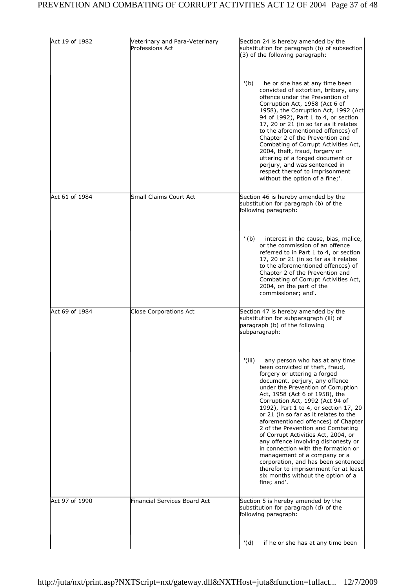| Act 19 of 1982 | Veterinary and Para-Veterinary<br><b>Professions Act</b> | Section 24 is hereby amended by the<br>substitution for paragraph (b) of subsection<br>(3) of the following paragraph:                                                                                                                                                                                                                                                                                                                                                                                                                                                                                                                                                                                                      |
|----------------|----------------------------------------------------------|-----------------------------------------------------------------------------------------------------------------------------------------------------------------------------------------------------------------------------------------------------------------------------------------------------------------------------------------------------------------------------------------------------------------------------------------------------------------------------------------------------------------------------------------------------------------------------------------------------------------------------------------------------------------------------------------------------------------------------|
|                |                                                          | '(b)<br>he or she has at any time been<br>convicted of extortion, bribery, any<br>offence under the Prevention of<br>Corruption Act, 1958 (Act 6 of<br>1958), the Corruption Act, 1992 (Act<br>94 of 1992), Part 1 to 4, or section<br>17, 20 or 21 (in so far as it relates<br>to the aforementioned offences) of<br>Chapter 2 of the Prevention and<br>Combating of Corrupt Activities Act,<br>2004, theft, fraud, forgery or<br>uttering of a forged document or<br>perjury, and was sentenced in<br>respect thereof to imprisonment<br>without the option of a fine;'.                                                                                                                                                  |
| Act 61 of 1984 | Small Claims Court Act                                   | Section 46 is hereby amended by the<br>substitution for paragraph (b) of the<br>following paragraph:                                                                                                                                                                                                                                                                                                                                                                                                                                                                                                                                                                                                                        |
|                |                                                          | $^{\prime\prime}(b)$<br>interest in the cause, bias, malice,<br>or the commission of an offence<br>referred to in Part 1 to 4, or section<br>17, 20 or 21 (in so far as it relates<br>to the aforementioned offences) of<br>Chapter 2 of the Prevention and<br>Combating of Corrupt Activities Act,<br>2004, on the part of the<br>commissioner; and'.                                                                                                                                                                                                                                                                                                                                                                      |
| Act 69 of 1984 | Close Corporations Act                                   | Section 47 is hereby amended by the<br>substitution for subparagraph (iii) of<br>paragraph (b) of the following<br>subparagraph:                                                                                                                                                                                                                                                                                                                                                                                                                                                                                                                                                                                            |
|                |                                                          | $^{\prime}$ (iii)<br>any person who has at any time<br>been convicted of theft, fraud,<br>forgery or uttering a forged<br>document, perjury, any offence<br>under the Prevention of Corruption<br>Act, 1958 (Act 6 of 1958), the<br>Corruption Act, 1992 (Act 94 of<br>1992), Part 1 to 4, or section 17, 20<br>or 21 (in so far as it relates to the<br>aforementioned offences) of Chapter<br>2 of the Prevention and Combating<br>of Corrupt Activities Act, 2004, or<br>any offence involving dishonesty or<br>in connection with the formation or<br>management of a company or a<br>corporation, and has been sentenced<br>therefor to imprisonment for at least<br>six months without the option of a<br>fine; and'. |
| Act 97 of 1990 | Financial Services Board Act                             | Section 5 is hereby amended by the<br>substitution for paragraph (d) of the<br>following paragraph:                                                                                                                                                                                                                                                                                                                                                                                                                                                                                                                                                                                                                         |
|                |                                                          | if he or she has at any time been<br>'(d)                                                                                                                                                                                                                                                                                                                                                                                                                                                                                                                                                                                                                                                                                   |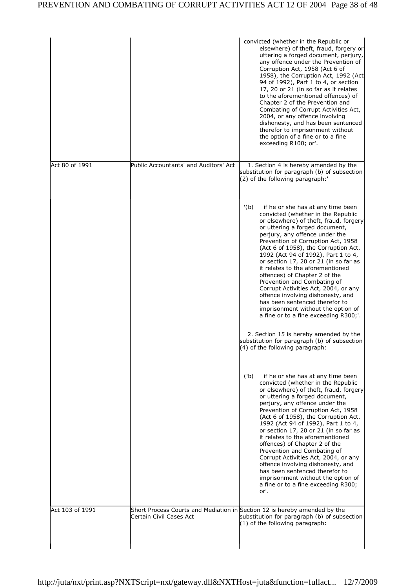|                 |                                                                                                      | convicted (whether in the Republic or<br>elsewhere) of theft, fraud, forgery or<br>uttering a forged document, perjury,<br>any offence under the Prevention of<br>Corruption Act, 1958 (Act 6 of<br>1958), the Corruption Act, 1992 (Act<br>94 of 1992), Part 1 to 4, or section<br>17, 20 or 21 (in so far as it relates<br>to the aforementioned offences) of<br>Chapter 2 of the Prevention and<br>Combating of Corrupt Activities Act,<br>2004, or any offence involving<br>dishonesty, and has been sentenced<br>therefor to imprisonment without<br>the option of a fine or to a fine<br>exceeding R100; or'.                                                                                                                                                                          |
|-----------------|------------------------------------------------------------------------------------------------------|----------------------------------------------------------------------------------------------------------------------------------------------------------------------------------------------------------------------------------------------------------------------------------------------------------------------------------------------------------------------------------------------------------------------------------------------------------------------------------------------------------------------------------------------------------------------------------------------------------------------------------------------------------------------------------------------------------------------------------------------------------------------------------------------|
| Act 80 of 1991  | Public Accountants' and Auditors' Act                                                                | 1. Section 4 is hereby amended by the<br>substitution for paragraph $(b)$ of subsection<br>(2) of the following paragraph:'                                                                                                                                                                                                                                                                                                                                                                                                                                                                                                                                                                                                                                                                  |
|                 |                                                                                                      | '(b)<br>if he or she has at any time been<br>convicted (whether in the Republic<br>or elsewhere) of theft, fraud, forgery<br>or uttering a forged document,<br>perjury, any offence under the<br>Prevention of Corruption Act, 1958<br>(Act 6 of 1958), the Corruption Act,<br>1992 (Act 94 of 1992), Part 1 to 4,<br>or section 17, 20 or 21 (in so far as<br>it relates to the aforementioned<br>offences) of Chapter 2 of the<br>Prevention and Combating of<br>Corrupt Activities Act, 2004, or any<br>offence involving dishonesty, and<br>has been sentenced therefor to<br>imprisonment without the option of<br>a fine or to a fine exceeding R300;'.<br>2. Section 15 is hereby amended by the<br>substitution for paragraph $(b)$ of subsection<br>(4) of the following paragraph: |
|                 |                                                                                                      | if he or she has at any time been<br>(b)<br>convicted (whether in the Republic<br>or elsewhere) of theft, fraud, forgery<br>or uttering a forged document,<br>perjury, any offence under the<br>Prevention of Corruption Act, 1958<br>(Act 6 of 1958), the Corruption Act,<br>1992 (Act 94 of 1992), Part 1 to 4,<br>or section 17, 20 or 21 (in so far as<br>it relates to the aforementioned<br>offences) of Chapter 2 of the<br>Prevention and Combating of<br>Corrupt Activities Act, 2004, or any<br>offence involving dishonesty, and<br>has been sentenced therefor to<br>imprisonment without the option of<br>a fine or to a fine exceeding R300;<br>or'.                                                                                                                           |
| Act 103 of 1991 | Short Process Courts and Mediation in Section 12 is hereby amended by the<br>Certain Civil Cases Act | substitution for paragraph (b) of subsection<br>$(1)$ of the following paragraph:                                                                                                                                                                                                                                                                                                                                                                                                                                                                                                                                                                                                                                                                                                            |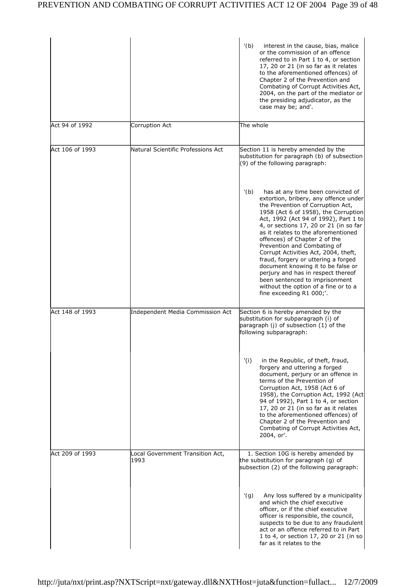|                 |                                          | '(b)<br>interest in the cause, bias, malice<br>or the commission of an offence<br>referred to in Part 1 to 4, or section<br>17, 20 or 21 (in so far as it relates<br>to the aforementioned offences) of<br>Chapter 2 of the Prevention and<br>Combating of Corrupt Activities Act,<br>2004, on the part of the mediator or<br>the presiding adjudicator, as the<br>case may be; and'.                                                                                                                                                                                                                                      |
|-----------------|------------------------------------------|----------------------------------------------------------------------------------------------------------------------------------------------------------------------------------------------------------------------------------------------------------------------------------------------------------------------------------------------------------------------------------------------------------------------------------------------------------------------------------------------------------------------------------------------------------------------------------------------------------------------------|
| Act 94 of 1992  | Corruption Act                           | $\operatorname{\mathsf{The}}$ whole                                                                                                                                                                                                                                                                                                                                                                                                                                                                                                                                                                                        |
| Act 106 of 1993 | Natural Scientific Professions Act       | Section 11 is hereby amended by the<br>substitution for paragraph (b) of subsection<br>(9) of the following paragraph:                                                                                                                                                                                                                                                                                                                                                                                                                                                                                                     |
|                 |                                          | '(b)<br>has at any time been convicted of<br>extortion, bribery, any offence under<br>the Prevention of Corruption Act,<br>1958 (Act 6 of 1958), the Corruption<br>Act, 1992 (Act 94 of 1992), Part 1 to<br>4, or sections 17, 20 or 21 (in so far<br>as it relates to the aforementioned<br>offences) of Chapter 2 of the<br>Prevention and Combating of<br>Corrupt Activities Act, 2004, theft,<br>fraud, forgery or uttering a forged<br>document knowing it to be false or<br>perjury and has in respect thereof<br>been sentenced to imprisonment<br>without the option of a fine or to a<br>fine exceeding R1 000;'. |
| Act 148 of 1993 | Independent Media Commission Act         | Section 6 is hereby amended by the<br>substitution for subparagraph (i) of<br>paragraph $(j)$ of subsection (1) of the<br>following subparagraph:                                                                                                                                                                                                                                                                                                                                                                                                                                                                          |
|                 |                                          | $^{\prime}$ (i)<br>in the Republic, of theft, fraud,<br>forgery and uttering a forged<br>document, perjury or an offence in<br>terms of the Prevention of<br>Corruption Act, 1958 (Act 6 of<br>1958), the Corruption Act, 1992 (Act<br>94 of 1992), Part 1 to 4, or section<br>17, 20 or 21 (in so far as it relates<br>to the aforementioned offences) of<br>Chapter 2 of the Prevention and<br>Combating of Corrupt Activities Act,<br>2004, or'.                                                                                                                                                                        |
| Act 209 of 1993 | Local Government Transition Act,<br>1993 | 1. Section 10G is hereby amended by<br>the substitution for paragraph $(q)$ of<br>subsection (2) of the following paragraph:                                                                                                                                                                                                                                                                                                                                                                                                                                                                                               |
|                 |                                          | '(g)<br>Any loss suffered by a municipality<br>and which the chief executive<br>officer, or if the chief executive<br>officer is responsible, the council,<br>suspects to be due to any fraudulent<br>act or an offence referred to in Part<br>1 to 4, or section 17, 20 or 21 (in so<br>far as it relates to the                                                                                                                                                                                                                                                                                                          |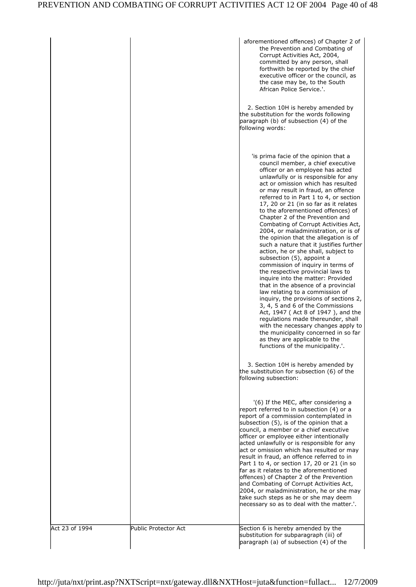|                |                      | aforementioned offences) of Chapter 2 of<br>the Prevention and Combating of<br>Corrupt Activities Act, 2004,<br>committed by any person, shall<br>forthwith be reported by the chief<br>executive officer or the council, as<br>the case may be, to the South<br>African Police Service.'.<br>2. Section 10H is hereby amended by<br>the substitution for the words following<br>paragraph (b) of subsection (4) of the<br>following words:                                                                                                                                                                                                                                                                                                                                                                                                                                                                                                                                                                                                                                                                                                                                                                                                                        |
|----------------|----------------------|--------------------------------------------------------------------------------------------------------------------------------------------------------------------------------------------------------------------------------------------------------------------------------------------------------------------------------------------------------------------------------------------------------------------------------------------------------------------------------------------------------------------------------------------------------------------------------------------------------------------------------------------------------------------------------------------------------------------------------------------------------------------------------------------------------------------------------------------------------------------------------------------------------------------------------------------------------------------------------------------------------------------------------------------------------------------------------------------------------------------------------------------------------------------------------------------------------------------------------------------------------------------|
|                |                      | 'is <i>prima facie</i> of the opinion that a<br>council member, a chief executive<br>officer or an employee has acted<br>unlawfully or is responsible for any<br>act or omission which has resulted<br>or may result in fraud, an offence<br>referred to in Part 1 to 4, or section<br>17, 20 or 21 (in so far as it relates<br>to the aforementioned offences) of<br>Chapter 2 of the Prevention and<br>Combating of Corrupt Activities Act,<br>2004, or maladministration, or is of<br>the opinion that the allegation is of<br>such a nature that it justifies further<br>action, he or she shall, subject to<br>subsection (5), appoint a<br>commission of inquiry in terms of<br>the respective provincial laws to<br>inquire into the matter: Provided<br>that in the absence of a provincial<br>law relating to a commission of<br>inquiry, the provisions of sections 2,<br>3, 4, 5 and 6 of the Commissions<br>Act, 1947 (Act 8 of 1947), and the<br>regulations made thereunder, shall<br>with the necessary changes apply to<br>the municipality concerned in so far<br>as they are applicable to the<br>functions of the municipality.'.<br>3. Section 10H is hereby amended by<br>the substitution for subsection (6) of the<br>following subsection: |
|                |                      | '(6) If the MEC, after considering a<br>report referred to in subsection (4) or a<br>report of a commission contemplated in<br>subsection (5), is of the opinion that a<br>council, a member or a chief executive<br>officer or employee either intentionally<br>acted unlawfully or is responsible for any<br>act or omission which has resulted or may<br>result in fraud, an offence referred to in<br>Part 1 to 4, or section 17, 20 or 21 (in so<br>far as it relates to the aforementioned<br>offences) of Chapter 2 of the Prevention<br>and Combating of Corrupt Activities Act,<br>2004, or maladministration, he or she may<br>take such steps as he or she may deem<br>necessary so as to deal with the matter.'.                                                                                                                                                                                                                                                                                                                                                                                                                                                                                                                                       |
| Act 23 of 1994 | Public Protector Act | Section 6 is hereby amended by the<br>substitution for subparagraph (iii) of<br>paragraph $(a)$ of subsection (4) of the                                                                                                                                                                                                                                                                                                                                                                                                                                                                                                                                                                                                                                                                                                                                                                                                                                                                                                                                                                                                                                                                                                                                           |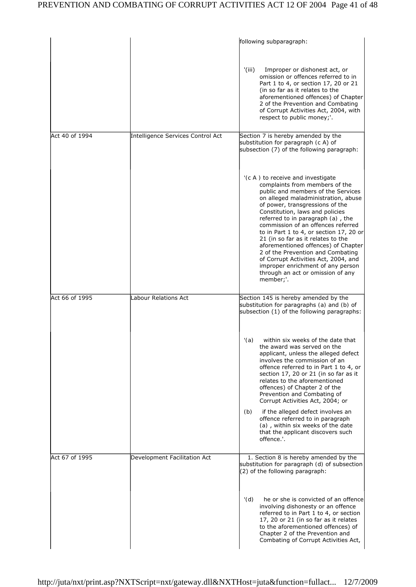|                |                                   | following subparagraph:                                                                                                                                                                                                                                                                                                                                                                                                                                                                                                                                                                                  |
|----------------|-----------------------------------|----------------------------------------------------------------------------------------------------------------------------------------------------------------------------------------------------------------------------------------------------------------------------------------------------------------------------------------------------------------------------------------------------------------------------------------------------------------------------------------------------------------------------------------------------------------------------------------------------------|
|                |                                   | $'$ (iii)<br>Improper or dishonest act, or<br>omission or offences referred to in<br>Part 1 to 4, or section 17, 20 or 21<br>(in so far as it relates to the<br>aforementioned offences) of Chapter<br>2 of the Prevention and Combating<br>of Corrupt Activities Act, 2004, with<br>respect to public money;'.                                                                                                                                                                                                                                                                                          |
| Act 40 of 1994 | Intelligence Services Control Act | Section 7 is hereby amended by the<br>substitution for paragraph $(c A)$ of<br>subsection (7) of the following paragraph:                                                                                                                                                                                                                                                                                                                                                                                                                                                                                |
|                |                                   | $\sqrt{c}$ A ) to receive and investigate<br>complaints from members of the<br>public and members of the Services<br>on alleged maladministration, abuse<br>of power, transgressions of the<br>Constitution, laws and policies<br>referred to in paragraph $(a)$ , the<br>commission of an offences referred<br>to in Part 1 to 4, or section 17, 20 or<br>21 (in so far as it relates to the<br>aforementioned offences) of Chapter<br>2 of the Prevention and Combating<br>of Corrupt Activities Act, 2004, and<br>improper enrichment of any person<br>through an act or omission of any<br>member;'. |
| Act 66 of 1995 | Labour Relations Act              | Section 145 is hereby amended by the<br>substitution for paragraphs (a) and (b) of<br>subsection (1) of the following paragraphs:                                                                                                                                                                                                                                                                                                                                                                                                                                                                        |
|                |                                   | within six weeks of the date that<br>'(a)<br>the award was served on the<br>applicant, unless the alleged defect<br>involves the commission of an<br>offence referred to in Part 1 to 4, or<br>section 17, 20 or 21 (in so far as it<br>relates to the aforementioned<br>offences) of Chapter 2 of the<br>Prevention and Combating of<br>Corrupt Activities Act, 2004; or<br>if the alleged defect involves an<br>(b)<br>offence referred to in paragraph<br>(a), within six weeks of the date<br>that the applicant discovers such<br>offence.'.                                                        |
| Act 67 of 1995 | Development Facilitation Act      | 1. Section 8 is hereby amended by the<br>substitution for paragraph (d) of subsection<br>(2) of the following paragraph:                                                                                                                                                                                                                                                                                                                                                                                                                                                                                 |
|                |                                   | '(d)<br>he or she is convicted of an offence<br>involving dishonesty or an offence<br>referred to in Part 1 to 4, or section<br>17, 20 or 21 (in so far as it relates<br>to the aforementioned offences) of<br>Chapter 2 of the Prevention and<br>Combating of Corrupt Activities Act,                                                                                                                                                                                                                                                                                                                   |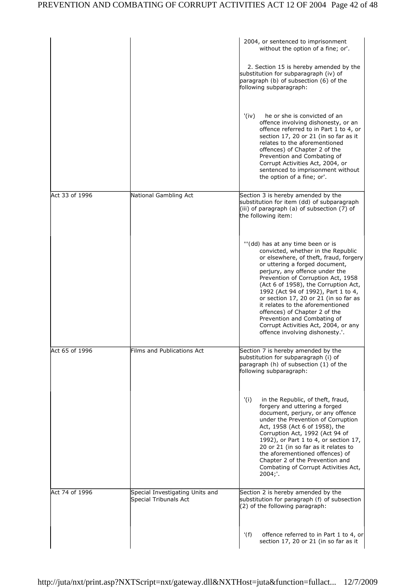|                |                                                          | 2004, or sentenced to imprisonment<br>without the option of a fine; or'.                                                                                                                                                                                                                                                                                                                                                                                                                                                           |
|----------------|----------------------------------------------------------|------------------------------------------------------------------------------------------------------------------------------------------------------------------------------------------------------------------------------------------------------------------------------------------------------------------------------------------------------------------------------------------------------------------------------------------------------------------------------------------------------------------------------------|
|                |                                                          | 2. Section 15 is hereby amended by the<br>substitution for subparagraph (iv) of<br>paragraph (b) of subsection (6) of the<br>following subparagraph:                                                                                                                                                                                                                                                                                                                                                                               |
|                |                                                          | $'$ (iv)<br>he or she is convicted of an<br>offence involving dishonesty, or an<br>offence referred to in Part 1 to 4, or<br>section 17, 20 or 21 (in so far as it<br>relates to the aforementioned<br>offences) of Chapter 2 of the<br>Prevention and Combating of<br>Corrupt Activities Act, 2004, or<br>sentenced to imprisonment without<br>the option of a fine; or'.                                                                                                                                                         |
| Act 33 of 1996 | National Gambling Act                                    | Section 3 is hereby amended by the<br>substitution for item (dd) of subparagraph<br>(iii) of paragraph $(a)$ of subsection (7) of<br>the following item:                                                                                                                                                                                                                                                                                                                                                                           |
|                |                                                          | "'(dd) has at any time been or is<br>convicted, whether in the Republic<br>or elsewhere, of theft, fraud, forgery<br>or uttering a forged document,<br>perjury, any offence under the<br>Prevention of Corruption Act, 1958<br>(Act 6 of 1958), the Corruption Act,<br>1992 (Act 94 of 1992), Part 1 to 4,<br>or section 17, 20 or 21 (in so far as<br>it relates to the aforementioned<br>offences) of Chapter 2 of the<br>Prevention and Combating of<br>Corrupt Activities Act, 2004, or any<br>offence involving dishonesty.'. |
| Act 65 of 1996 | Films and Publications Act                               | Section 7 is hereby amended by the<br>substitution for subparagraph (i) of<br>paragraph $(h)$ of subsection (1) of the<br>following subparagraph:                                                                                                                                                                                                                                                                                                                                                                                  |
|                |                                                          | $'(\mathsf{i})$<br>in the Republic, of theft, fraud,<br>forgery and uttering a forged<br>document, perjury, or any offence<br>under the Prevention of Corruption<br>Act, 1958 (Act 6 of 1958), the<br>Corruption Act, 1992 (Act 94 of<br>1992), or Part 1 to 4, or section 17,<br>20 or 21 (in so far as it relates to<br>the aforementioned offences) of<br>Chapter 2 of the Prevention and<br>Combating of Corrupt Activities Act,<br>$2004$ ;'.                                                                                 |
| Act 74 of 1996 | Special Investigating Units and<br>Special Tribunals Act | Section 2 is hereby amended by the<br>substitution for paragraph (f) of subsection<br>(2) of the following paragraph:                                                                                                                                                                                                                                                                                                                                                                                                              |
|                |                                                          | '(f)<br>offence referred to in Part 1 to 4, or<br>section 17, 20 or 21 (in so far as it                                                                                                                                                                                                                                                                                                                                                                                                                                            |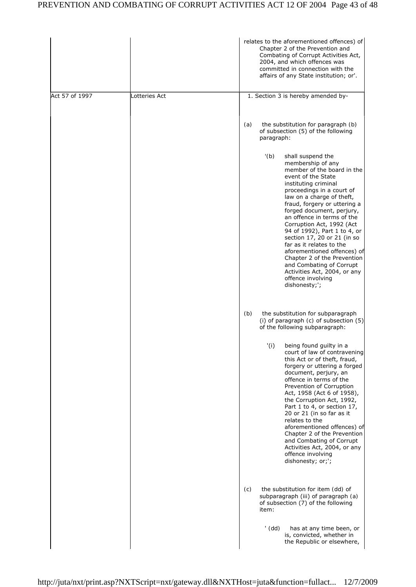|                |               |     | relates to the aforementioned offences) of<br>Chapter 2 of the Prevention and<br>Combating of Corrupt Activities Act,<br>2004, and which offences was<br>committed in connection with the<br>affairs of any State institution; or'.                                                                                                                                                                                                                                                                                                                                     |
|----------------|---------------|-----|-------------------------------------------------------------------------------------------------------------------------------------------------------------------------------------------------------------------------------------------------------------------------------------------------------------------------------------------------------------------------------------------------------------------------------------------------------------------------------------------------------------------------------------------------------------------------|
| Act 57 of 1997 | Lotteries Act |     | 1. Section 3 is hereby amended by-                                                                                                                                                                                                                                                                                                                                                                                                                                                                                                                                      |
|                |               | (a) | the substitution for paragraph (b)<br>of subsection (5) of the following<br>paragraph:                                                                                                                                                                                                                                                                                                                                                                                                                                                                                  |
|                |               |     | '(b)<br>shall suspend the<br>membership of any<br>member of the board in the<br>event of the State<br>instituting criminal<br>proceedings in a court of<br>law on a charge of theft,<br>fraud, forgery or uttering a<br>forged document, perjury,<br>an offence in terms of the<br>Corruption Act, 1992 (Act<br>94 of 1992), Part 1 to 4, or<br>section 17, 20 or 21 (in so<br>far as it relates to the<br>aforementioned offences) of<br>Chapter 2 of the Prevention<br>and Combating of Corrupt<br>Activities Act, 2004, or any<br>offence involving<br>dishonesty;'; |
|                |               | (b) | the substitution for subparagraph<br>(i) of paragraph $(c)$ of subsection (5)<br>of the following subparagraph:                                                                                                                                                                                                                                                                                                                                                                                                                                                         |
|                |               |     | $'(\mathsf{i})$<br>being found guilty in a<br>court of law of contravening<br>this Act or of theft, fraud,<br>forgery or uttering a forged<br>document, perjury, an<br>offence in terms of the<br>Prevention of Corruption<br>Act, 1958 (Act 6 of 1958),<br>the Corruption Act, 1992,<br>Part 1 to 4, or section 17,<br>20 or 21 (in so far as it<br>relates to the<br>aforementioned offences) of<br>Chapter 2 of the Prevention<br>and Combating of Corrupt<br>Activities Act, 2004, or any<br>offence involving<br>dishonesty; or;';                                 |
|                |               | (c) | the substitution for item (dd) of<br>subparagraph (iii) of paragraph (a)<br>of subsection (7) of the following<br>item:                                                                                                                                                                                                                                                                                                                                                                                                                                                 |
|                |               |     | $'$ (dd)<br>has at any time been, or<br>is, convicted, whether in<br>the Republic or elsewhere,                                                                                                                                                                                                                                                                                                                                                                                                                                                                         |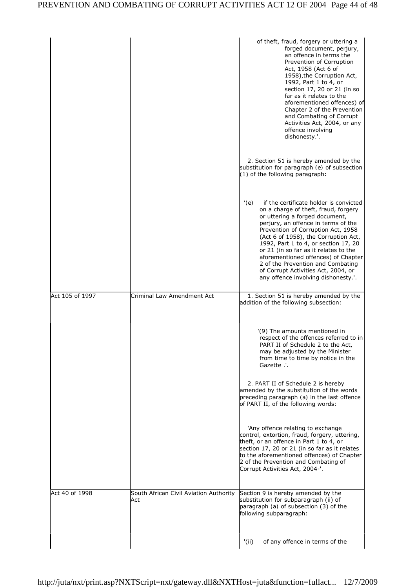|                 |                                               | of theft, fraud, forgery or uttering a<br>forged document, perjury,<br>an offence in terms the<br>Prevention of Corruption<br>Act, 1958 (Act 6 of<br>1958), the Corruption Act,<br>1992, Part 1 to 4, or<br>section 17, 20 or 21 (in so<br>far as it relates to the<br>aforementioned offences) of<br>Chapter 2 of the Prevention<br>and Combating of Corrupt<br>Activities Act, 2004, or any<br>offence involving<br>dishonesty.'.                                                      |
|-----------------|-----------------------------------------------|------------------------------------------------------------------------------------------------------------------------------------------------------------------------------------------------------------------------------------------------------------------------------------------------------------------------------------------------------------------------------------------------------------------------------------------------------------------------------------------|
|                 |                                               | 2. Section 51 is hereby amended by the<br>substitution for paragraph $(e)$ of subsection<br>(1) of the following paragraph:                                                                                                                                                                                                                                                                                                                                                              |
|                 |                                               | if the certificate holder is convicted<br>'(e)<br>on a charge of theft, fraud, forgery<br>or uttering a forged document,<br>perjury, an offence in terms of the<br>Prevention of Corruption Act, 1958<br>(Act 6 of 1958), the Corruption Act,<br>1992, Part 1 to 4, or section 17, 20<br>or 21 (in so far as it relates to the<br>aforementioned offences) of Chapter<br>2 of the Prevention and Combating<br>of Corrupt Activities Act, 2004, or<br>any offence involving dishonesty.'. |
| Act 105 of 1997 | Criminal Law Amendment Act                    | 1. Section 51 is hereby amended by the<br>addition of the following subsection:                                                                                                                                                                                                                                                                                                                                                                                                          |
|                 |                                               | '(9) The amounts mentioned in<br>respect of the offences referred to in<br>PART II of Schedule 2 to the Act,<br>may be adjusted by the Minister<br>from time to time by notice in the<br>Gazette '.                                                                                                                                                                                                                                                                                      |
|                 |                                               | 2. PART II of Schedule 2 is hereby<br>amended by the substitution of the words<br>preceding paragraph $(a)$ in the last offence<br>of PART II, of the following words:                                                                                                                                                                                                                                                                                                                   |
|                 |                                               | 'Any offence relating to exchange<br>control, extortion, fraud, forgery, uttering,<br>theft, or an offence in Part 1 to 4, or<br>section 17, 20 or 21 (in so far as it relates<br>to the aforementioned offences) of Chapter<br>2 of the Prevention and Combating of<br>Corrupt Activities Act, 2004-'.                                                                                                                                                                                  |
| Act 40 of 1998  | South African Civil Aviation Authority<br>Act | Section 9 is hereby amended by the<br>substitution for subparagraph (ii) of<br>$\beta$ paragraph (a) of subsection (3) of the<br>following subparagraph:                                                                                                                                                                                                                                                                                                                                 |
|                 |                                               | $'$ (ii)<br>of any offence in terms of the                                                                                                                                                                                                                                                                                                                                                                                                                                               |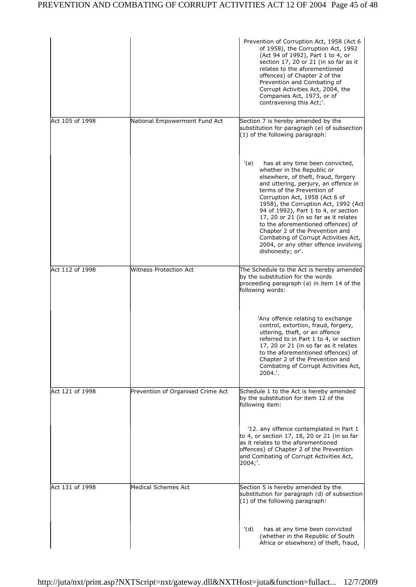|                 |                                   | Prevention of Corruption Act, 1958 (Act 6<br>of 1958), the Corruption Act, 1992<br>(Act 94 of 1992), Part 1 to 4, or<br>section 17, 20 or 21 (in so far as it<br>relates to the aforementioned<br>offences) of Chapter 2 of the<br>Prevention and Combating of<br>Corrupt Activities Act, 2004, the<br>Companies Act, 1973, or of<br>contravening this Act;'.                                                                                                                                                              |
|-----------------|-----------------------------------|----------------------------------------------------------------------------------------------------------------------------------------------------------------------------------------------------------------------------------------------------------------------------------------------------------------------------------------------------------------------------------------------------------------------------------------------------------------------------------------------------------------------------|
| Act 105 of 1998 | National Empowerment Fund Act     | Section 7 is hereby amended by the<br>substitution for paragraph $(e)$ of subsection<br>$(1)$ of the following paragraph:                                                                                                                                                                                                                                                                                                                                                                                                  |
|                 |                                   | '(e)<br>has at any time been convicted,<br>whether in the Republic or<br>elsewhere, of theft, fraud, forgery<br>and uttering, perjury, an offence in<br>terms of the Prevention of<br>Corruption Act, 1958 (Act 6 of<br>1958), the Corruption Act, 1992 (Act<br>94 of 1992), Part 1 to 4, or section<br>17, 20 or 21 (in so far as it relates<br>to the aforementioned offences) of<br>Chapter 2 of the Prevention and<br>Combating of Corrupt Activities Act,<br>2004, or any other offence involving<br>dishonesty; or'. |
| Act 112 of 1998 | Witness Protection Act            | The Schedule to the Act is hereby amended<br>by the substitution for the words<br>proceeding paragraph $(a)$ in item 14 of the<br>following words:                                                                                                                                                                                                                                                                                                                                                                         |
|                 |                                   | 'Any offence relating to exchange<br>control, extortion, fraud, forgery,<br>uttering, theft, or an offence<br>referred to in Part 1 to 4, or section<br>17, 20 or 21 (in so far as it relates<br>to the aforementioned offences) of<br>Chapter 2 of the Prevention and<br>Combating of Corrupt Activities Act,<br>2004.                                                                                                                                                                                                    |
| Act 121 of 1998 | Prevention of Organised Crime Act | Schedule 1 to the Act is hereby amended<br>by the substitution for item 12 of the<br>following item:                                                                                                                                                                                                                                                                                                                                                                                                                       |
|                 |                                   | '12. any offence contemplated in Part 1<br>to 4, or section 17, 18, 20 or 21 (in so far<br>as it relates to the aforementioned<br>offences) of Chapter 2 of the Prevention<br>and Combating of Corrupt Activities Act,<br>2004;'.                                                                                                                                                                                                                                                                                          |
| Act 131 of 1998 | Medical Schemes Act               | Section 5 is hereby amended by the<br>substitution for paragraph $(d)$ of subsection<br>$(1)$ of the following paragraph:                                                                                                                                                                                                                                                                                                                                                                                                  |
|                 |                                   | has at any time been convicted<br>'(d)<br>(whether in the Republic of South<br>Africa or elsewhere) of theft, fraud,                                                                                                                                                                                                                                                                                                                                                                                                       |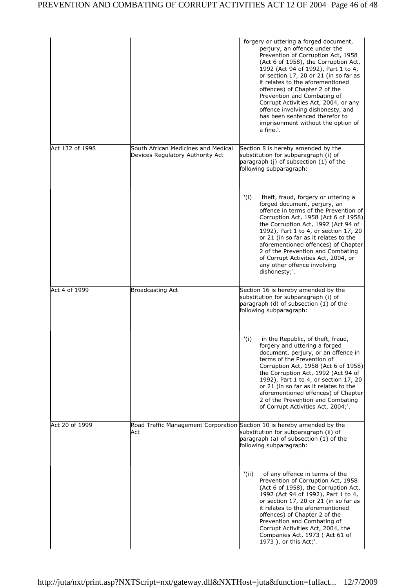|                 |                                                                                 | forgery or uttering a forged document,<br>perjury, an offence under the<br>Prevention of Corruption Act, 1958<br>(Act 6 of 1958), the Corruption Act,<br>1992 (Act 94 of 1992), Part 1 to 4,<br>or section 17, 20 or 21 (in so far as<br>it relates to the aforementioned<br>offences) of Chapter 2 of the<br>Prevention and Combating of<br>Corrupt Activities Act, 2004, or any<br>offence involving dishonesty, and<br>has been sentenced therefor to<br>imprisonment without the option of<br>a fine.'. |
|-----------------|---------------------------------------------------------------------------------|-------------------------------------------------------------------------------------------------------------------------------------------------------------------------------------------------------------------------------------------------------------------------------------------------------------------------------------------------------------------------------------------------------------------------------------------------------------------------------------------------------------|
| Act 132 of 1998 | South African Medicines and Medical<br>Devices Regulatory Authority Act         | Section 8 is hereby amended by the<br>substitution for subparagraph (i) of<br>$\beta$ paragraph (j) of subsection (1) of the<br>following subparagraph:                                                                                                                                                                                                                                                                                                                                                     |
|                 |                                                                                 | $'(\mathsf{i})$<br>theft, fraud, forgery or uttering a<br>forged document, perjury, an<br>offence in terms of the Prevention of<br>Corruption Act, 1958 (Act 6 of 1958)<br>the Corruption Act, 1992 (Act 94 of<br>1992), Part 1 to 4, or section 17, 20<br>or 21 (in so far as it relates to the<br>aforementioned offences) of Chapter<br>2 of the Prevention and Combating<br>of Corrupt Activities Act, 2004, or<br>any other offence involving<br>dishonesty;'.                                         |
| Act 4 of 1999   | Broadcasting Act                                                                | Section 16 is hereby amended by the<br>substitution for subparagraph (i) of<br>paragraph $(d)$ of subsection (1) of the<br>following subparagraph:                                                                                                                                                                                                                                                                                                                                                          |
|                 |                                                                                 | $'(\mathsf{i})$<br>in the Republic, of theft, fraud,<br>forgery and uttering a forged<br>document, perjury, or an offence in<br>terms of the Prevention of<br>Corruption Act, 1958 (Act 6 of 1958)<br>the Corruption Act, 1992 (Act 94 of<br>1992), Part 1 to 4, or section 17, 20<br>or 21 (in so far as it relates to the<br>aforementioned offences) of Chapter<br>2 of the Prevention and Combating<br>of Corrupt Activities Act, 2004;'.                                                               |
| Act 20 of 1999  | Road Traffic Management Corporation Section 10 is hereby amended by the<br> Act | substitution for subparagraph (ii) of<br>$\beta$ paragraph (a) of subsection (1) of the<br>following subparagraph:                                                                                                                                                                                                                                                                                                                                                                                          |
|                 |                                                                                 | $^{\prime}$ (ii)<br>of any offence in terms of the<br>Prevention of Corruption Act, 1958<br>(Act 6 of 1958), the Corruption Act,<br>1992 (Act 94 of 1992), Part 1 to 4,<br>or section 17, 20 or 21 (in so far as<br>it relates to the aforementioned<br>offences) of Chapter 2 of the<br>Prevention and Combating of<br>Corrupt Activities Act, 2004, the<br>Companies Act, 1973 (Act 61 of<br>1973 ), or this Act;'.                                                                                       |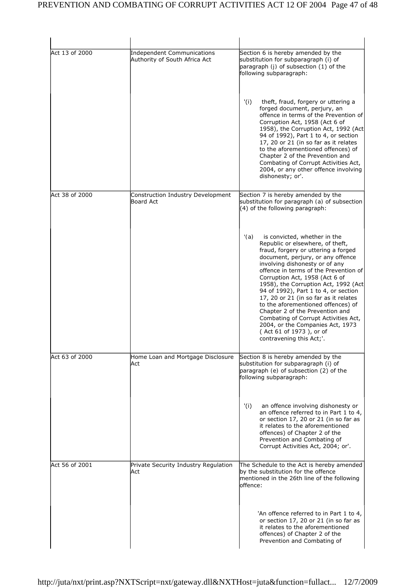| Act 13 of 2000 | Independent Communications<br>Authority of South Africa Act | Section 6 is hereby amended by the<br>substitution for subparagraph (i) of<br>$\beta$ paragraph (j) of subsection (1) of the<br>following subparagraph:<br>$^{\prime}$ (i)<br>theft, fraud, forgery or uttering a                                                                                                                                                                                                                                                                                                                                                                                      |
|----------------|-------------------------------------------------------------|--------------------------------------------------------------------------------------------------------------------------------------------------------------------------------------------------------------------------------------------------------------------------------------------------------------------------------------------------------------------------------------------------------------------------------------------------------------------------------------------------------------------------------------------------------------------------------------------------------|
|                |                                                             | forged document, perjury, an<br>offence in terms of the Prevention of<br>Corruption Act, 1958 (Act 6 of<br>1958), the Corruption Act, 1992 (Act<br>94 of 1992), Part 1 to 4, or section<br>17, 20 or 21 (in so far as it relates<br>to the aforementioned offences) of<br>Chapter 2 of the Prevention and<br>Combating of Corrupt Activities Act,<br>2004, or any other offence involving<br>dishonesty; or'.                                                                                                                                                                                          |
| Act 38 of 2000 | Construction Industry Development<br>Board Act              | Section 7 is hereby amended by the<br>substitution for paragraph (a) of subsection<br>(4) of the following paragraph:                                                                                                                                                                                                                                                                                                                                                                                                                                                                                  |
|                |                                                             | '(a)<br>is convicted, whether in the<br>Republic or elsewhere, of theft,<br>fraud, forgery or uttering a forged<br>document, perjury, or any offence<br>involving dishonesty or of any<br>offence in terms of the Prevention of<br>Corruption Act, 1958 (Act 6 of<br>1958), the Corruption Act, 1992 (Act<br>94 of 1992), Part 1 to 4, or section<br>17, 20 or 21 (in so far as it relates<br>to the aforementioned offences) of<br>Chapter 2 of the Prevention and<br>Combating of Corrupt Activities Act,<br>2004, or the Companies Act, 1973<br>(Act 61 of 1973), or of<br>contravening this Act;'. |
| Act 63 of 2000 | Home Loan and Mortgage Disclosure<br> Act                   | Section 8 is hereby amended by the<br>substitution for subparagraph (i) of<br>$\beta$ paragraph $\left(e\right)$ of subsection (2) of the<br>following subparagraph:                                                                                                                                                                                                                                                                                                                                                                                                                                   |
|                |                                                             | $^{\prime}$ (i)<br>an offence involving dishonesty or<br>an offence referred to in Part 1 to 4,<br>or section 17, 20 or 21 (in so far as<br>it relates to the aforementioned<br>offences) of Chapter 2 of the<br>Prevention and Combating of<br>Corrupt Activities Act, 2004; or'.                                                                                                                                                                                                                                                                                                                     |
| Act 56 of 2001 | Private Security Industry Regulation<br> Act                | The Schedule to the Act is hereby amended<br>by the substitution for the offence<br>mentioned in the 26th line of the following<br>loffence:                                                                                                                                                                                                                                                                                                                                                                                                                                                           |
|                |                                                             | 'An offence referred to in Part 1 to 4,<br>or section 17, 20 or 21 (in so far as<br>it relates to the aforementioned<br>offences) of Chapter 2 of the<br>Prevention and Combating of                                                                                                                                                                                                                                                                                                                                                                                                                   |